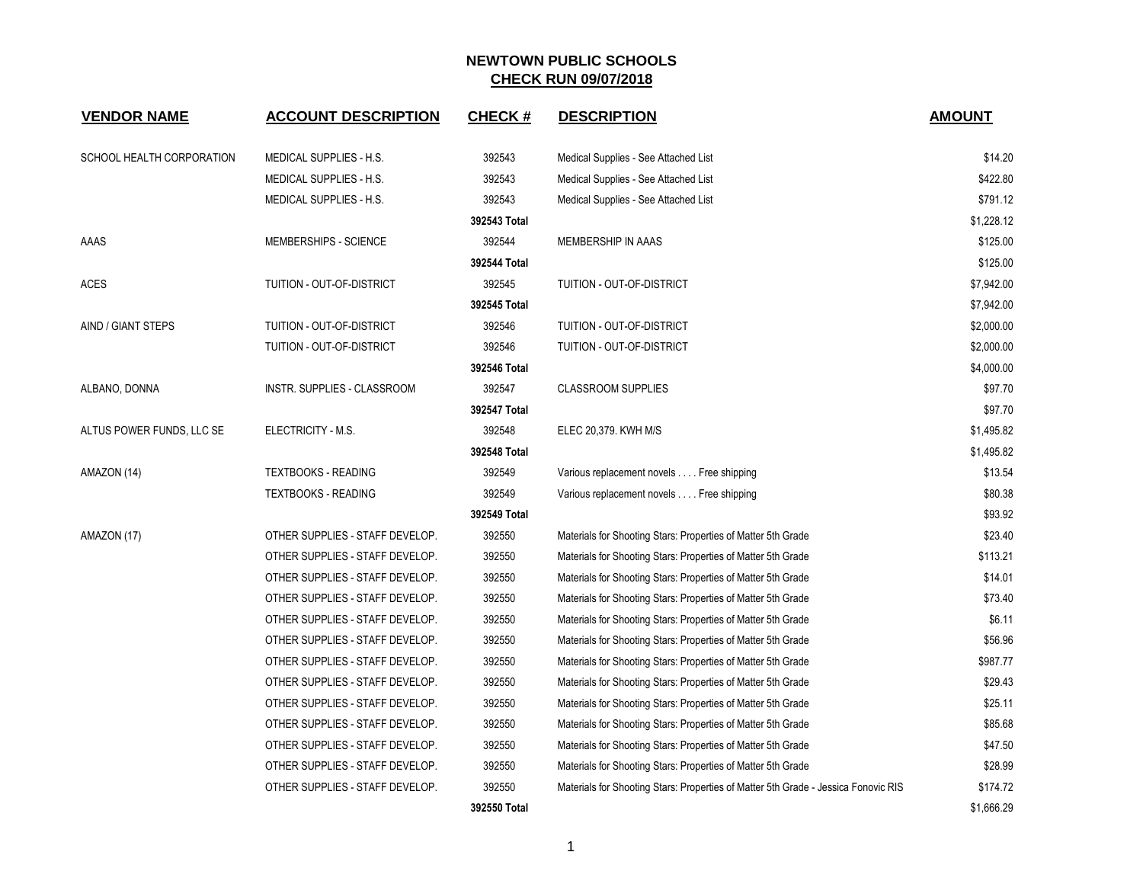| <b>VENDOR NAME</b>        | <b>ACCOUNT DESCRIPTION</b>      | <b>CHECK#</b> | <b>DESCRIPTION</b>                                                                 | <b>AMOUNT</b> |
|---------------------------|---------------------------------|---------------|------------------------------------------------------------------------------------|---------------|
| SCHOOL HEALTH CORPORATION | MEDICAL SUPPLIES - H.S.         | 392543        | Medical Supplies - See Attached List                                               | \$14.20       |
|                           | <b>MEDICAL SUPPLIES - H.S.</b>  | 392543        | Medical Supplies - See Attached List                                               | \$422.80      |
|                           | MEDICAL SUPPLIES - H.S.         | 392543        | Medical Supplies - See Attached List                                               | \$791.12      |
|                           |                                 | 392543 Total  |                                                                                    | \$1,228.12    |
| AAAS                      | MEMBERSHIPS - SCIENCE           | 392544        | MEMBERSHIP IN AAAS                                                                 | \$125.00      |
|                           |                                 | 392544 Total  |                                                                                    | \$125.00      |
| <b>ACES</b>               | TUITION - OUT-OF-DISTRICT       | 392545        | TUITION - OUT-OF-DISTRICT                                                          | \$7,942.00    |
|                           |                                 | 392545 Total  |                                                                                    | \$7,942.00    |
| AIND / GIANT STEPS        | TUITION - OUT-OF-DISTRICT       | 392546        | TUITION - OUT-OF-DISTRICT                                                          | \$2,000.00    |
|                           | TUITION - OUT-OF-DISTRICT       | 392546        | TUITION - OUT-OF-DISTRICT                                                          | \$2,000.00    |
|                           |                                 | 392546 Total  |                                                                                    | \$4,000.00    |
| ALBANO, DONNA             | INSTR. SUPPLIES - CLASSROOM     | 392547        | <b>CLASSROOM SUPPLIES</b>                                                          | \$97.70       |
|                           |                                 | 392547 Total  |                                                                                    | \$97.70       |
| ALTUS POWER FUNDS, LLC SE | ELECTRICITY - M.S.              | 392548        | ELEC 20,379. KWH M/S                                                               | \$1,495.82    |
|                           |                                 | 392548 Total  |                                                                                    | \$1,495.82    |
| AMAZON (14)               | <b>TEXTBOOKS - READING</b>      | 392549        | Various replacement novels Free shipping                                           | \$13.54       |
|                           | <b>TEXTBOOKS - READING</b>      | 392549        | Various replacement novels Free shipping                                           | \$80.38       |
|                           |                                 | 392549 Total  |                                                                                    | \$93.92       |
| AMAZON (17)               | OTHER SUPPLIES - STAFF DEVELOP. | 392550        | Materials for Shooting Stars: Properties of Matter 5th Grade                       | \$23.40       |
|                           | OTHER SUPPLIES - STAFF DEVELOP. | 392550        | Materials for Shooting Stars: Properties of Matter 5th Grade                       | \$113.21      |
|                           | OTHER SUPPLIES - STAFF DEVELOP. | 392550        | Materials for Shooting Stars: Properties of Matter 5th Grade                       | \$14.01       |
|                           | OTHER SUPPLIES - STAFF DEVELOP. | 392550        | Materials for Shooting Stars: Properties of Matter 5th Grade                       | \$73.40       |
|                           | OTHER SUPPLIES - STAFF DEVELOP. | 392550        | Materials for Shooting Stars: Properties of Matter 5th Grade                       | \$6.11        |
|                           | OTHER SUPPLIES - STAFF DEVELOP. | 392550        | Materials for Shooting Stars: Properties of Matter 5th Grade                       | \$56.96       |
|                           | OTHER SUPPLIES - STAFF DEVELOP. | 392550        | Materials for Shooting Stars: Properties of Matter 5th Grade                       | \$987.77      |
|                           | OTHER SUPPLIES - STAFF DEVELOP. | 392550        | Materials for Shooting Stars: Properties of Matter 5th Grade                       | \$29.43       |
|                           | OTHER SUPPLIES - STAFF DEVELOP. | 392550        | Materials for Shooting Stars: Properties of Matter 5th Grade                       | \$25.11       |
|                           | OTHER SUPPLIES - STAFF DEVELOP. | 392550        | Materials for Shooting Stars: Properties of Matter 5th Grade                       | \$85.68       |
|                           | OTHER SUPPLIES - STAFF DEVELOP. | 392550        | Materials for Shooting Stars: Properties of Matter 5th Grade                       | \$47.50       |
|                           | OTHER SUPPLIES - STAFF DEVELOP. | 392550        | Materials for Shooting Stars: Properties of Matter 5th Grade                       | \$28.99       |
|                           | OTHER SUPPLIES - STAFF DEVELOP. | 392550        | Materials for Shooting Stars: Properties of Matter 5th Grade - Jessica Fonovic RIS | \$174.72      |
|                           |                                 | 392550 Total  |                                                                                    | \$1,666.29    |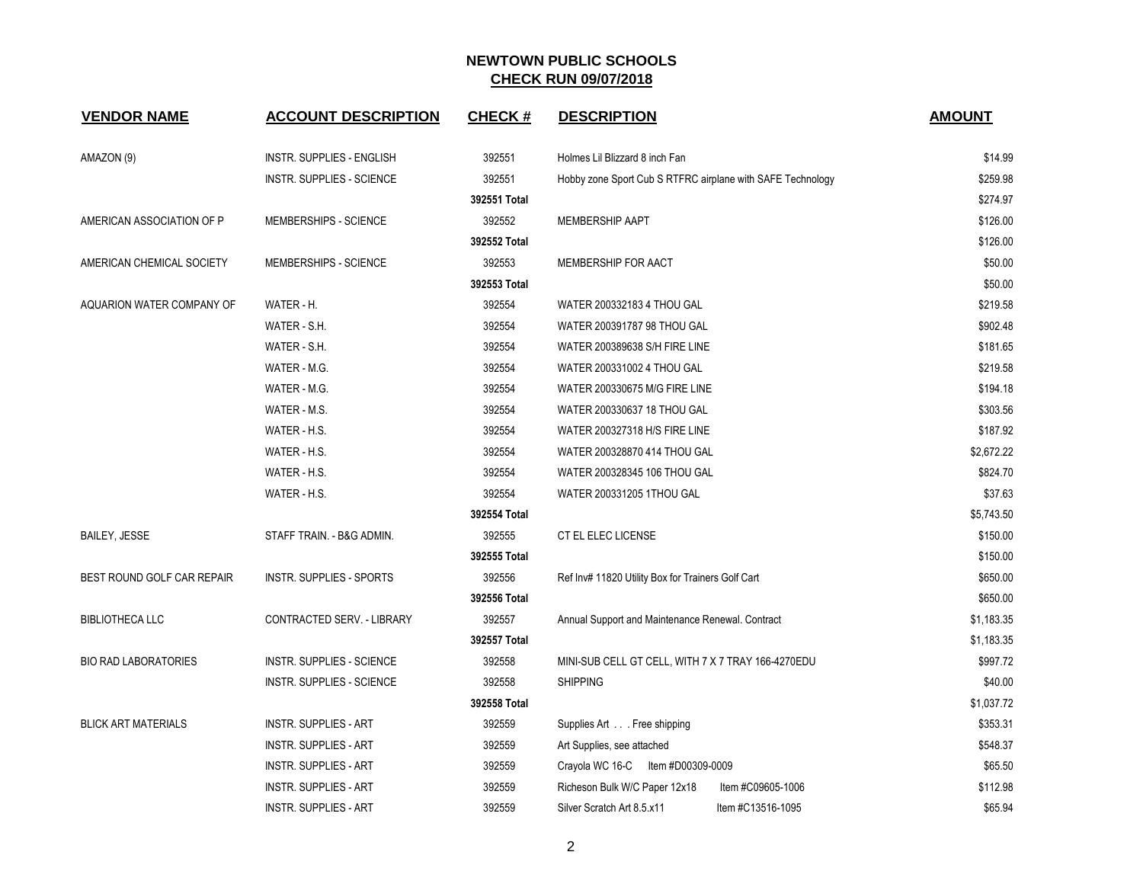| <b>VENDOR NAME</b>          | <b>ACCOUNT DESCRIPTION</b>       | <b>CHECK#</b> | <b>DESCRIPTION</b>                                         | <b>AMOUNT</b> |
|-----------------------------|----------------------------------|---------------|------------------------------------------------------------|---------------|
|                             |                                  |               |                                                            |               |
| AMAZON (9)                  | INSTR. SUPPLIES - ENGLISH        | 392551        | Holmes Lil Blizzard 8 inch Fan                             | \$14.99       |
|                             | <b>INSTR. SUPPLIES - SCIENCE</b> | 392551        | Hobby zone Sport Cub S RTFRC airplane with SAFE Technology | \$259.98      |
|                             |                                  | 392551 Total  |                                                            | \$274.97      |
| AMERICAN ASSOCIATION OF P   | MEMBERSHIPS - SCIENCE            | 392552        | <b>MEMBERSHIP AAPT</b>                                     | \$126.00      |
|                             |                                  | 392552 Total  |                                                            | \$126.00      |
| AMERICAN CHEMICAL SOCIETY   | MEMBERSHIPS - SCIENCE            | 392553        | MEMBERSHIP FOR AACT                                        | \$50.00       |
|                             |                                  | 392553 Total  |                                                            | \$50.00       |
| AQUARION WATER COMPANY OF   | WATER - H.                       | 392554        | WATER 200332183 4 THOU GAL                                 | \$219.58      |
|                             | WATER - S.H.                     | 392554        | WATER 200391787 98 THOU GAL                                | \$902.48      |
|                             | WATER - S.H.                     | 392554        | WATER 200389638 S/H FIRE LINE                              | \$181.65      |
|                             | WATER - M.G.                     | 392554        | WATER 200331002 4 THOU GAL                                 | \$219.58      |
|                             | WATER - M.G.                     | 392554        | WATER 200330675 M/G FIRE LINE                              | \$194.18      |
|                             | WATER - M.S.                     | 392554        | WATER 200330637 18 THOU GAL                                | \$303.56      |
|                             | WATER - H.S.                     | 392554        | WATER 200327318 H/S FIRE LINE                              | \$187.92      |
|                             | WATER - H.S.                     | 392554        | WATER 200328870 414 THOU GAL                               | \$2,672.22    |
|                             | WATER - H.S.                     | 392554        | WATER 200328345 106 THOU GAL                               | \$824.70      |
|                             | WATER - H.S.                     | 392554        | WATER 200331205 1THOU GAL                                  | \$37.63       |
|                             |                                  | 392554 Total  |                                                            | \$5,743.50    |
| <b>BAILEY, JESSE</b>        | STAFF TRAIN. - B&G ADMIN.        | 392555        | CT EL ELEC LICENSE                                         | \$150.00      |
|                             |                                  | 392555 Total  |                                                            | \$150.00      |
| BEST ROUND GOLF CAR REPAIR  | <b>INSTR. SUPPLIES - SPORTS</b>  | 392556        | Ref Inv# 11820 Utility Box for Trainers Golf Cart          | \$650.00      |
|                             |                                  | 392556 Total  |                                                            | \$650.00      |
| <b>BIBLIOTHECA LLC</b>      | CONTRACTED SERV. - LIBRARY       | 392557        | Annual Support and Maintenance Renewal. Contract           | \$1,183.35    |
|                             |                                  | 392557 Total  |                                                            | \$1,183.35    |
| <b>BIO RAD LABORATORIES</b> | <b>INSTR. SUPPLIES - SCIENCE</b> | 392558        | MINI-SUB CELL GT CELL, WITH 7 X 7 TRAY 166-4270EDU         | \$997.72      |
|                             | <b>INSTR. SUPPLIES - SCIENCE</b> | 392558        | <b>SHIPPING</b>                                            | \$40.00       |
|                             |                                  | 392558 Total  |                                                            | \$1,037.72    |
| <b>BLICK ART MATERIALS</b>  | <b>INSTR. SUPPLIES - ART</b>     | 392559        | Supplies Art Free shipping                                 | \$353.31      |
|                             | <b>INSTR. SUPPLIES - ART</b>     | 392559        | Art Supplies, see attached                                 | \$548.37      |
|                             | <b>INSTR. SUPPLIES - ART</b>     | 392559        | Crayola WC 16-C Item #D00309-0009                          | \$65.50       |
|                             | <b>INSTR. SUPPLIES - ART</b>     | 392559        | Richeson Bulk W/C Paper 12x18<br>Item #C09605-1006         | \$112.98      |
|                             | <b>INSTR. SUPPLIES - ART</b>     | 392559        | Silver Scratch Art 8.5.x11<br>Item #C13516-1095            | \$65.94       |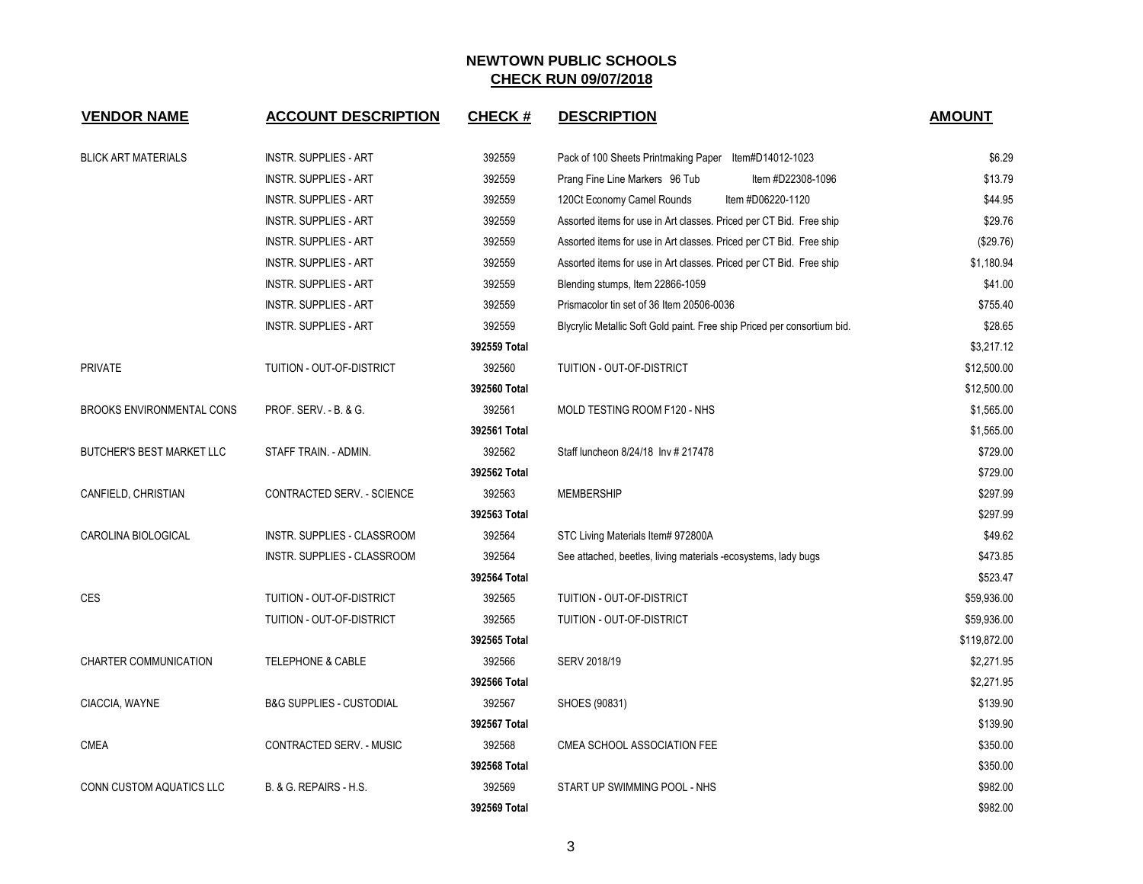| <b>VENDOR NAME</b>               | <b>ACCOUNT DESCRIPTION</b>          | <b>CHECK#</b> | <b>DESCRIPTION</b>                                                       | <b>AMOUNT</b> |
|----------------------------------|-------------------------------------|---------------|--------------------------------------------------------------------------|---------------|
| <b>BLICK ART MATERIALS</b>       | <b>INSTR. SUPPLIES - ART</b>        | 392559        | Pack of 100 Sheets Printmaking Paper Item#D14012-1023                    | \$6.29        |
|                                  | <b>INSTR. SUPPLIES - ART</b>        | 392559        | Prang Fine Line Markers 96 Tub<br>Item #D22308-1096                      | \$13.79       |
|                                  | <b>INSTR. SUPPLIES - ART</b>        | 392559        | 120Ct Economy Camel Rounds<br>Item #D06220-1120                          | \$44.95       |
|                                  | <b>INSTR. SUPPLIES - ART</b>        | 392559        | Assorted items for use in Art classes. Priced per CT Bid. Free ship      | \$29.76       |
|                                  | <b>INSTR. SUPPLIES - ART</b>        | 392559        | Assorted items for use in Art classes. Priced per CT Bid. Free ship      | (\$29.76)     |
|                                  | <b>INSTR. SUPPLIES - ART</b>        | 392559        | Assorted items for use in Art classes. Priced per CT Bid. Free ship      | \$1,180.94    |
|                                  | <b>INSTR. SUPPLIES - ART</b>        | 392559        | Blending stumps, Item 22866-1059                                         | \$41.00       |
|                                  | <b>INSTR. SUPPLIES - ART</b>        | 392559        | Prismacolor tin set of 36 Item 20506-0036                                | \$755.40      |
|                                  | <b>INSTR. SUPPLIES - ART</b>        | 392559        | Blycrylic Metallic Soft Gold paint. Free ship Priced per consortium bid. | \$28.65       |
|                                  |                                     | 392559 Total  |                                                                          | \$3,217.12    |
| <b>PRIVATE</b>                   | TUITION - OUT-OF-DISTRICT           | 392560        | TUITION - OUT-OF-DISTRICT                                                | \$12,500.00   |
|                                  |                                     | 392560 Total  |                                                                          | \$12,500.00   |
| <b>BROOKS ENVIRONMENTAL CONS</b> | PROF. SERV. - B. & G.               | 392561        | MOLD TESTING ROOM F120 - NHS                                             | \$1,565.00    |
|                                  |                                     | 392561 Total  |                                                                          | \$1,565.00    |
| <b>BUTCHER'S BEST MARKET LLC</b> | STAFF TRAIN. - ADMIN.               | 392562        | Staff luncheon 8/24/18 Inv # 217478                                      | \$729.00      |
|                                  |                                     | 392562 Total  |                                                                          | \$729.00      |
| CANFIELD, CHRISTIAN              | CONTRACTED SERV. - SCIENCE          | 392563        | <b>MEMBERSHIP</b>                                                        | \$297.99      |
|                                  |                                     | 392563 Total  |                                                                          | \$297.99      |
| CAROLINA BIOLOGICAL              | INSTR. SUPPLIES - CLASSROOM         | 392564        | STC Living Materials Item# 972800A                                       | \$49.62       |
|                                  | INSTR. SUPPLIES - CLASSROOM         | 392564        | See attached, beetles, living materials -ecosystems, lady bugs           | \$473.85      |
|                                  |                                     | 392564 Total  |                                                                          | \$523.47      |
| <b>CES</b>                       | TUITION - OUT-OF-DISTRICT           | 392565        | TUITION - OUT-OF-DISTRICT                                                | \$59,936.00   |
|                                  | TUITION - OUT-OF-DISTRICT           | 392565        | TUITION - OUT-OF-DISTRICT                                                | \$59,936.00   |
|                                  |                                     | 392565 Total  |                                                                          | \$119,872.00  |
| CHARTER COMMUNICATION            | <b>TELEPHONE &amp; CABLE</b>        | 392566        | SERV 2018/19                                                             | \$2,271.95    |
|                                  |                                     | 392566 Total  |                                                                          | \$2,271.95    |
| CIACCIA, WAYNE                   | <b>B&amp;G SUPPLIES - CUSTODIAL</b> | 392567        | SHOES (90831)                                                            | \$139.90      |
|                                  |                                     | 392567 Total  |                                                                          | \$139.90      |
| <b>CMEA</b>                      | CONTRACTED SERV. - MUSIC            | 392568        | CMEA SCHOOL ASSOCIATION FEE                                              | \$350.00      |
|                                  |                                     | 392568 Total  |                                                                          | \$350.00      |
| <b>CONN CUSTOM AQUATICS LLC</b>  | B. & G. REPAIRS - H.S.              | 392569        | START UP SWIMMING POOL - NHS                                             | \$982.00      |
|                                  |                                     | 392569 Total  |                                                                          | \$982.00      |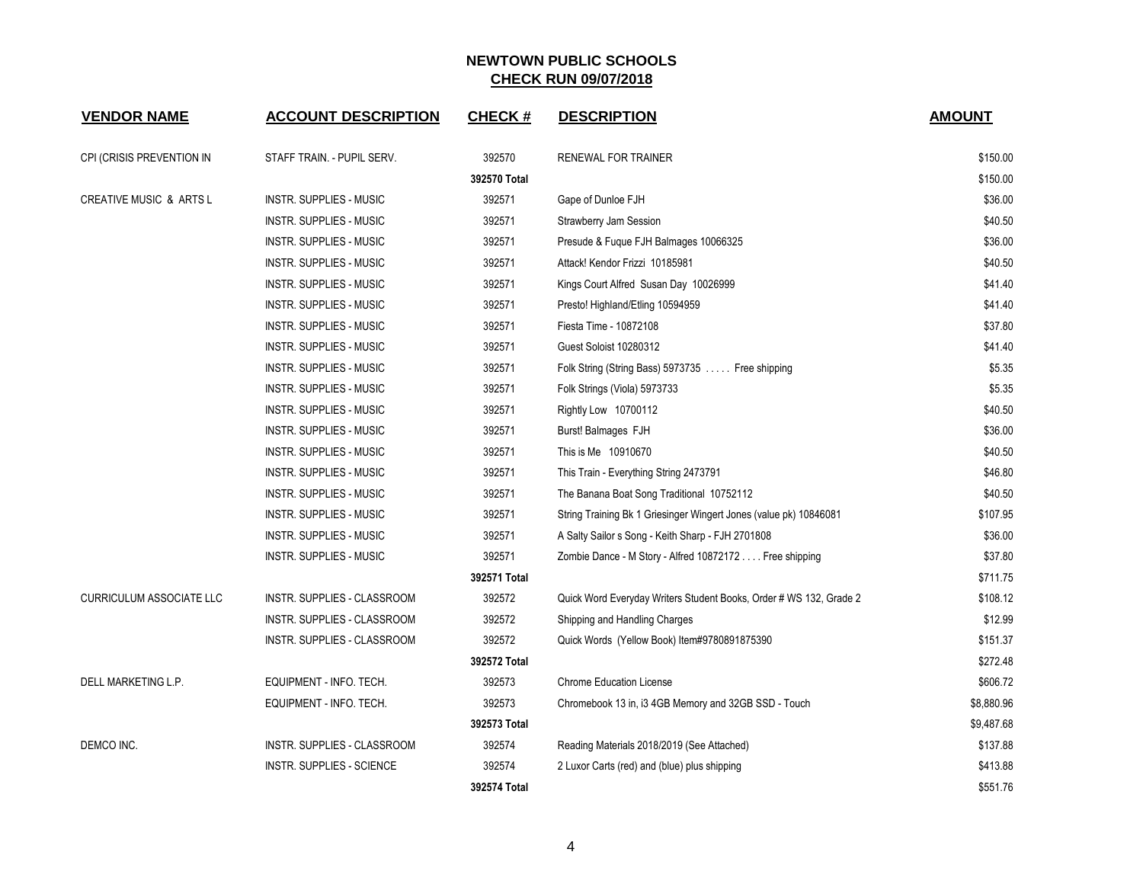| <b>VENDOR NAME</b>                 | <b>ACCOUNT DESCRIPTION</b>       | <b>CHECK#</b> | <b>DESCRIPTION</b>                                                 | <b>AMOUNT</b> |
|------------------------------------|----------------------------------|---------------|--------------------------------------------------------------------|---------------|
| CPI (CRISIS PREVENTION IN          | STAFF TRAIN. - PUPIL SERV.       | 392570        | RENEWAL FOR TRAINER                                                | \$150.00      |
|                                    |                                  | 392570 Total  |                                                                    | \$150.00      |
| <b>CREATIVE MUSIC &amp; ARTS L</b> | INSTR. SUPPLIES - MUSIC          | 392571        | Gape of Dunloe FJH                                                 | \$36.00       |
|                                    | <b>INSTR. SUPPLIES - MUSIC</b>   | 392571        | Strawberry Jam Session                                             | \$40.50       |
|                                    | <b>INSTR. SUPPLIES - MUSIC</b>   | 392571        | Presude & Fuque FJH Balmages 10066325                              | \$36.00       |
|                                    | <b>INSTR. SUPPLIES - MUSIC</b>   | 392571        | Attack! Kendor Frizzi 10185981                                     | \$40.50       |
|                                    | <b>INSTR. SUPPLIES - MUSIC</b>   | 392571        | Kings Court Alfred Susan Day 10026999                              | \$41.40       |
|                                    | INSTR. SUPPLIES - MUSIC          | 392571        | Presto! Highland/Etling 10594959                                   | \$41.40       |
|                                    | <b>INSTR. SUPPLIES - MUSIC</b>   | 392571        | Fiesta Time - 10872108                                             | \$37.80       |
|                                    | <b>INSTR. SUPPLIES - MUSIC</b>   | 392571        | Guest Soloist 10280312                                             | \$41.40       |
|                                    | INSTR. SUPPLIES - MUSIC          | 392571        | Folk String (String Bass) 5973735  Free shipping                   | \$5.35        |
|                                    | <b>INSTR. SUPPLIES - MUSIC</b>   | 392571        | Folk Strings (Viola) 5973733                                       | \$5.35        |
|                                    | <b>INSTR. SUPPLIES - MUSIC</b>   | 392571        | Rightly Low 10700112                                               | \$40.50       |
|                                    | <b>INSTR. SUPPLIES - MUSIC</b>   | 392571        | Burst! Balmages FJH                                                | \$36.00       |
|                                    | <b>INSTR. SUPPLIES - MUSIC</b>   | 392571        | This is Me 10910670                                                | \$40.50       |
|                                    | INSTR. SUPPLIES - MUSIC          | 392571        | This Train - Everything String 2473791                             | \$46.80       |
|                                    | INSTR. SUPPLIES - MUSIC          | 392571        | The Banana Boat Song Traditional 10752112                          | \$40.50       |
|                                    | INSTR. SUPPLIES - MUSIC          | 392571        | String Training Bk 1 Griesinger Wingert Jones (value pk) 10846081  | \$107.95      |
|                                    | <b>INSTR. SUPPLIES - MUSIC</b>   | 392571        | A Salty Sailor s Song - Keith Sharp - FJH 2701808                  | \$36.00       |
|                                    | <b>INSTR. SUPPLIES - MUSIC</b>   | 392571        | Zombie Dance - M Story - Alfred 10872172 Free shipping             | \$37.80       |
|                                    |                                  | 392571 Total  |                                                                    | \$711.75      |
| <b>CURRICULUM ASSOCIATE LLC</b>    | INSTR. SUPPLIES - CLASSROOM      | 392572        | Quick Word Everyday Writers Student Books, Order # WS 132, Grade 2 | \$108.12      |
|                                    | INSTR. SUPPLIES - CLASSROOM      | 392572        | Shipping and Handling Charges                                      | \$12.99       |
|                                    | INSTR. SUPPLIES - CLASSROOM      | 392572        | Quick Words (Yellow Book) Item#9780891875390                       | \$151.37      |
|                                    |                                  | 392572 Total  |                                                                    | \$272.48      |
| DELL MARKETING L.P.                | EQUIPMENT - INFO. TECH.          | 392573        | <b>Chrome Education License</b>                                    | \$606.72      |
|                                    | EQUIPMENT - INFO. TECH.          | 392573        | Chromebook 13 in, i3 4GB Memory and 32GB SSD - Touch               | \$8,880.96    |
|                                    |                                  | 392573 Total  |                                                                    | \$9,487.68    |
| DEMCO INC.                         | INSTR. SUPPLIES - CLASSROOM      | 392574        | Reading Materials 2018/2019 (See Attached)                         | \$137.88      |
|                                    | <b>INSTR. SUPPLIES - SCIENCE</b> | 392574        | 2 Luxor Carts (red) and (blue) plus shipping                       | \$413.88      |
|                                    |                                  | 392574 Total  |                                                                    | \$551.76      |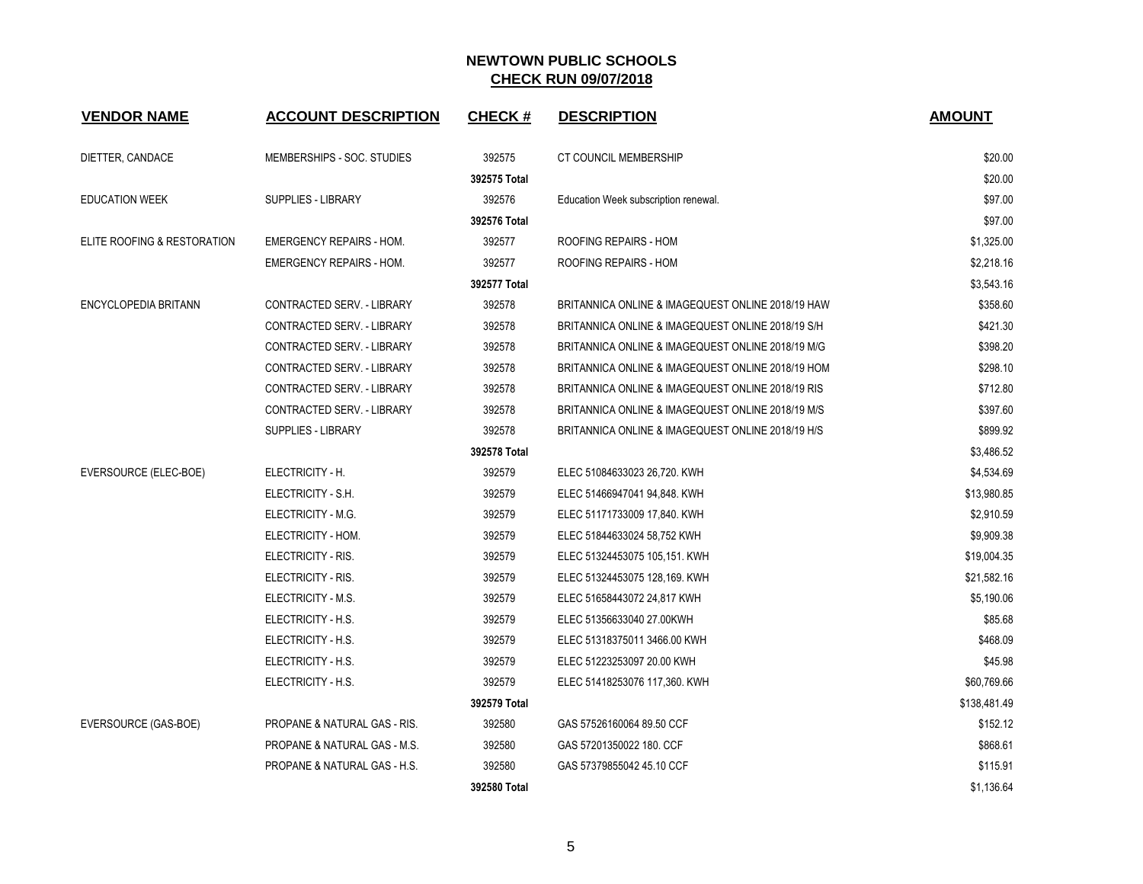| <b>VENDOR NAME</b>          | <b>ACCOUNT DESCRIPTION</b>        | <b>CHECK#</b> | <b>DESCRIPTION</b>                                | <b>AMOUNT</b> |
|-----------------------------|-----------------------------------|---------------|---------------------------------------------------|---------------|
| DIETTER, CANDACE            | MEMBERSHIPS - SOC. STUDIES        | 392575        | CT COUNCIL MEMBERSHIP                             | \$20.00       |
|                             |                                   | 392575 Total  |                                                   | \$20.00       |
| <b>EDUCATION WEEK</b>       | <b>SUPPLIES - LIBRARY</b>         | 392576        | Education Week subscription renewal.              | \$97.00       |
|                             |                                   | 392576 Total  |                                                   | \$97.00       |
| ELITE ROOFING & RESTORATION | <b>EMERGENCY REPAIRS - HOM.</b>   | 392577        | ROOFING REPAIRS - HOM                             | \$1,325.00    |
|                             | <b>EMERGENCY REPAIRS - HOM.</b>   | 392577        | ROOFING REPAIRS - HOM                             | \$2,218.16    |
|                             |                                   | 392577 Total  |                                                   | \$3,543.16    |
| ENCYCLOPEDIA BRITANN        | CONTRACTED SERV. - LIBRARY        | 392578        | BRITANNICA ONLINE & IMAGEQUEST ONLINE 2018/19 HAW | \$358.60      |
|                             | CONTRACTED SERV. - LIBRARY        | 392578        | BRITANNICA ONLINE & IMAGEQUEST ONLINE 2018/19 S/H | \$421.30      |
|                             | CONTRACTED SERV. - LIBRARY        | 392578        | BRITANNICA ONLINE & IMAGEQUEST ONLINE 2018/19 M/G | \$398.20      |
|                             | <b>CONTRACTED SERV. - LIBRARY</b> | 392578        | BRITANNICA ONLINE & IMAGEQUEST ONLINE 2018/19 HOM | \$298.10      |
|                             | CONTRACTED SERV. - LIBRARY        | 392578        | BRITANNICA ONLINE & IMAGEQUEST ONLINE 2018/19 RIS | \$712.80      |
|                             | CONTRACTED SERV. - LIBRARY        | 392578        | BRITANNICA ONLINE & IMAGEQUEST ONLINE 2018/19 M/S | \$397.60      |
|                             | <b>SUPPLIES - LIBRARY</b>         | 392578        | BRITANNICA ONLINE & IMAGEQUEST ONLINE 2018/19 H/S | \$899.92      |
|                             |                                   | 392578 Total  |                                                   | \$3,486.52    |
| EVERSOURCE (ELEC-BOE)       | ELECTRICITY - H.                  | 392579        | ELEC 51084633023 26,720. KWH                      | \$4,534.69    |
|                             | ELECTRICITY - S.H.                | 392579        | ELEC 51466947041 94,848. KWH                      | \$13,980.85   |
|                             | ELECTRICITY - M.G.                | 392579        | ELEC 51171733009 17,840. KWH                      | \$2,910.59    |
|                             | ELECTRICITY - HOM.                | 392579        | ELEC 51844633024 58,752 KWH                       | \$9,909.38    |
|                             | ELECTRICITY - RIS.                | 392579        | ELEC 51324453075 105,151. KWH                     | \$19,004.35   |
|                             | ELECTRICITY - RIS.                | 392579        | ELEC 51324453075 128,169. KWH                     | \$21,582.16   |
|                             | ELECTRICITY - M.S.                | 392579        | ELEC 51658443072 24,817 KWH                       | \$5,190.06    |
|                             | ELECTRICITY - H.S.                | 392579        | ELEC 51356633040 27.00KWH                         | \$85.68       |
|                             | ELECTRICITY - H.S.                | 392579        | ELEC 51318375011 3466.00 KWH                      | \$468.09      |
|                             | ELECTRICITY - H.S.                | 392579        | ELEC 51223253097 20.00 KWH                        | \$45.98       |
|                             | ELECTRICITY - H.S.                | 392579        | ELEC 51418253076 117,360. KWH                     | \$60,769.66   |
|                             |                                   | 392579 Total  |                                                   | \$138,481.49  |
| EVERSOURCE (GAS-BOE)        | PROPANE & NATURAL GAS - RIS.      | 392580        | GAS 57526160064 89.50 CCF                         | \$152.12      |
|                             | PROPANE & NATURAL GAS - M.S.      | 392580        | GAS 57201350022 180. CCF                          | \$868.61      |
|                             | PROPANE & NATURAL GAS - H.S.      | 392580        | GAS 57379855042 45.10 CCF                         | \$115.91      |
|                             |                                   | 392580 Total  |                                                   | \$1,136.64    |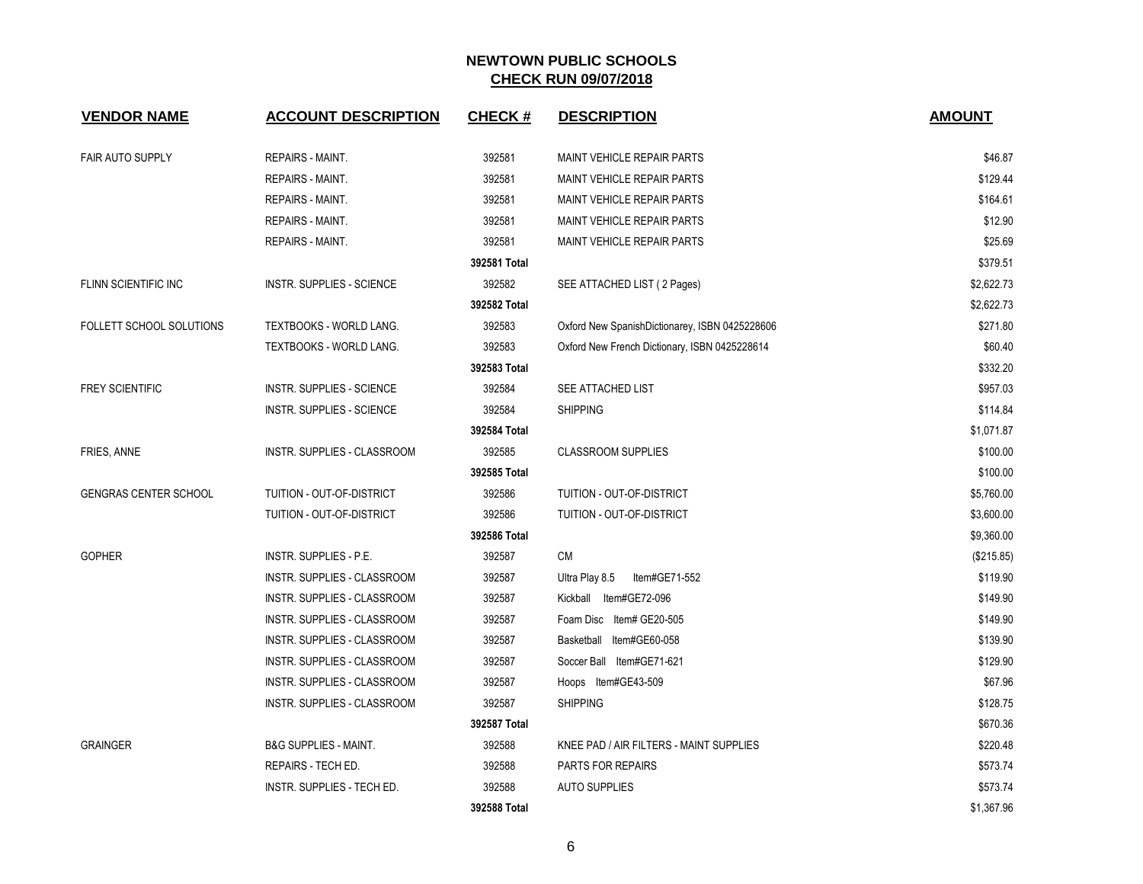| <b>VENDOR NAME</b>           | <b>ACCOUNT DESCRIPTION</b>       | <b>CHECK#</b> | <b>DESCRIPTION</b>                             | <b>AMOUNT</b> |
|------------------------------|----------------------------------|---------------|------------------------------------------------|---------------|
| <b>FAIR AUTO SUPPLY</b>      | <b>REPAIRS - MAINT.</b>          | 392581        | MAINT VEHICLE REPAIR PARTS                     | \$46.87       |
|                              | REPAIRS - MAINT.                 | 392581        | <b>MAINT VEHICLE REPAIR PARTS</b>              | \$129.44      |
|                              | <b>REPAIRS - MAINT.</b>          | 392581        | <b>MAINT VEHICLE REPAIR PARTS</b>              | \$164.61      |
|                              | REPAIRS - MAINT.                 | 392581        | MAINT VEHICLE REPAIR PARTS                     | \$12.90       |
|                              | <b>REPAIRS - MAINT.</b>          | 392581        | <b>MAINT VEHICLE REPAIR PARTS</b>              | \$25.69       |
|                              |                                  | 392581 Total  |                                                | \$379.51      |
| FLINN SCIENTIFIC INC         | INSTR. SUPPLIES - SCIENCE        | 392582        | SEE ATTACHED LIST (2 Pages)                    | \$2,622.73    |
|                              |                                  | 392582 Total  |                                                | \$2,622.73    |
| FOLLETT SCHOOL SOLUTIONS     | <b>TEXTBOOKS - WORLD LANG.</b>   | 392583        | Oxford New SpanishDictionarey, ISBN 0425228606 | \$271.80      |
|                              | TEXTBOOKS - WORLD LANG.          | 392583        | Oxford New French Dictionary, ISBN 0425228614  | \$60.40       |
|                              |                                  | 392583 Total  |                                                | \$332.20      |
| <b>FREY SCIENTIFIC</b>       | <b>INSTR. SUPPLIES - SCIENCE</b> | 392584        | SEE ATTACHED LIST                              | \$957.03      |
|                              | INSTR. SUPPLIES - SCIENCE        | 392584        | <b>SHIPPING</b>                                | \$114.84      |
|                              |                                  | 392584 Total  |                                                | \$1,071.87    |
| FRIES, ANNE                  | INSTR. SUPPLIES - CLASSROOM      | 392585        | <b>CLASSROOM SUPPLIES</b>                      | \$100.00      |
|                              |                                  | 392585 Total  |                                                | \$100.00      |
| <b>GENGRAS CENTER SCHOOL</b> | TUITION - OUT-OF-DISTRICT        | 392586        | TUITION - OUT-OF-DISTRICT                      | \$5,760.00    |
|                              | TUITION - OUT-OF-DISTRICT        | 392586        | TUITION - OUT-OF-DISTRICT                      | \$3,600.00    |
|                              |                                  | 392586 Total  |                                                | \$9,360.00    |
| <b>GOPHER</b>                | INSTR. SUPPLIES - P.E.           | 392587        | <b>CM</b>                                      | (\$215.85)    |
|                              | INSTR. SUPPLIES - CLASSROOM      | 392587        | Ultra Play 8.5<br>Item#GE71-552                | \$119.90      |
|                              | INSTR. SUPPLIES - CLASSROOM      | 392587        | Kickball Item#GE72-096                         | \$149.90      |
|                              | INSTR. SUPPLIES - CLASSROOM      | 392587        | Foam Disc Item# GE20-505                       | \$149.90      |
|                              | INSTR. SUPPLIES - CLASSROOM      | 392587        | Basketball Item#GE60-058                       | \$139.90      |
|                              | INSTR. SUPPLIES - CLASSROOM      | 392587        | Soccer Ball ltem#GE71-621                      | \$129.90      |
|                              | INSTR. SUPPLIES - CLASSROOM      | 392587        | Hoops Item#GE43-509                            | \$67.96       |
|                              | INSTR. SUPPLIES - CLASSROOM      | 392587        | <b>SHIPPING</b>                                | \$128.75      |
|                              |                                  | 392587 Total  |                                                | \$670.36      |
| <b>GRAINGER</b>              | <b>B&amp;G SUPPLIES - MAINT.</b> | 392588        | KNEE PAD / AIR FILTERS - MAINT SUPPLIES        | \$220.48      |
|                              | REPAIRS - TECH ED.               | 392588        | PARTS FOR REPAIRS                              | \$573.74      |
|                              | INSTR. SUPPLIES - TECH ED.       | 392588        | <b>AUTO SUPPLIES</b>                           | \$573.74      |
|                              |                                  | 392588 Total  |                                                | \$1,367.96    |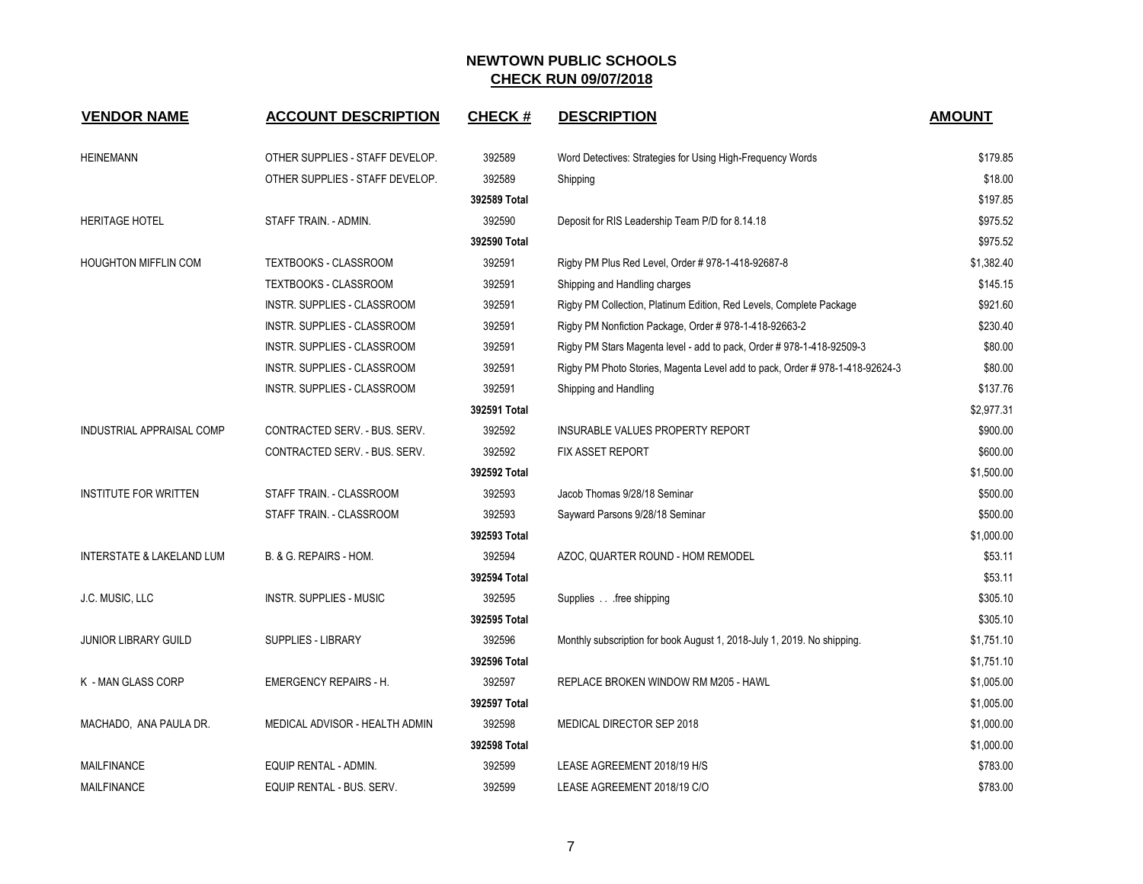| <b>VENDOR NAME</b>                   | <b>ACCOUNT DESCRIPTION</b>      | <b>CHECK#</b> | <b>DESCRIPTION</b>                                                           | <b>AMOUNT</b> |
|--------------------------------------|---------------------------------|---------------|------------------------------------------------------------------------------|---------------|
| <b>HEINEMANN</b>                     | OTHER SUPPLIES - STAFF DEVELOP. | 392589        | Word Detectives: Strategies for Using High-Frequency Words                   | \$179.85      |
|                                      | OTHER SUPPLIES - STAFF DEVELOP. | 392589        | Shipping                                                                     | \$18.00       |
|                                      |                                 | 392589 Total  |                                                                              | \$197.85      |
| <b>HERITAGE HOTEL</b>                | STAFF TRAIN. - ADMIN.           | 392590        | Deposit for RIS Leadership Team P/D for 8.14.18                              | \$975.52      |
|                                      |                                 | 392590 Total  |                                                                              | \$975.52      |
| <b>HOUGHTON MIFFLIN COM</b>          | TEXTBOOKS - CLASSROOM           | 392591        | Rigby PM Plus Red Level, Order # 978-1-418-92687-8                           | \$1,382.40    |
|                                      | TEXTBOOKS - CLASSROOM           | 392591        | Shipping and Handling charges                                                | \$145.15      |
|                                      | INSTR. SUPPLIES - CLASSROOM     | 392591        | Rigby PM Collection, Platinum Edition, Red Levels, Complete Package          | \$921.60      |
|                                      | INSTR. SUPPLIES - CLASSROOM     | 392591        | Rigby PM Nonfiction Package, Order # 978-1-418-92663-2                       | \$230.40      |
|                                      | INSTR. SUPPLIES - CLASSROOM     | 392591        | Rigby PM Stars Magenta level - add to pack, Order #978-1-418-92509-3         | \$80.00       |
|                                      | INSTR. SUPPLIES - CLASSROOM     | 392591        | Rigby PM Photo Stories, Magenta Level add to pack, Order # 978-1-418-92624-3 | \$80.00       |
|                                      | INSTR. SUPPLIES - CLASSROOM     | 392591        | Shipping and Handling                                                        | \$137.76      |
|                                      |                                 | 392591 Total  |                                                                              | \$2,977.31    |
| INDUSTRIAL APPRAISAL COMP            | CONTRACTED SERV. - BUS. SERV.   | 392592        | INSURABLE VALUES PROPERTY REPORT                                             | \$900.00      |
|                                      | CONTRACTED SERV. - BUS. SERV.   | 392592        | <b>FIX ASSET REPORT</b>                                                      | \$600.00      |
|                                      |                                 | 392592 Total  |                                                                              | \$1,500.00    |
| <b>INSTITUTE FOR WRITTEN</b>         | STAFF TRAIN. - CLASSROOM        | 392593        | Jacob Thomas 9/28/18 Seminar                                                 | \$500.00      |
|                                      | STAFF TRAIN. - CLASSROOM        | 392593        | Sayward Parsons 9/28/18 Seminar                                              | \$500.00      |
|                                      |                                 | 392593 Total  |                                                                              | \$1,000.00    |
| <b>INTERSTATE &amp; LAKELAND LUM</b> | B. & G. REPAIRS - HOM.          | 392594        | AZOC, QUARTER ROUND - HOM REMODEL                                            | \$53.11       |
|                                      |                                 | 392594 Total  |                                                                              | \$53.11       |
| J.C. MUSIC, LLC                      | <b>INSTR. SUPPLIES - MUSIC</b>  | 392595        | Supplies free shipping                                                       | \$305.10      |
|                                      |                                 | 392595 Total  |                                                                              | \$305.10      |
| JUNIOR LIBRARY GUILD                 | SUPPLIES - LIBRARY              | 392596        | Monthly subscription for book August 1, 2018-July 1, 2019. No shipping.      | \$1,751.10    |
|                                      |                                 | 392596 Total  |                                                                              | \$1,751.10    |
| K - MAN GLASS CORP                   | <b>EMERGENCY REPAIRS - H.</b>   | 392597        | REPLACE BROKEN WINDOW RM M205 - HAWL                                         | \$1,005.00    |
|                                      |                                 | 392597 Total  |                                                                              | \$1,005.00    |
| MACHADO, ANA PAULA DR.               | MEDICAL ADVISOR - HEALTH ADMIN  | 392598        | <b>MEDICAL DIRECTOR SEP 2018</b>                                             | \$1,000.00    |
|                                      |                                 | 392598 Total  |                                                                              | \$1,000.00    |
| <b>MAILFINANCE</b>                   | EQUIP RENTAL - ADMIN.           | 392599        | LEASE AGREEMENT 2018/19 H/S                                                  | \$783.00      |
| <b>MAILFINANCE</b>                   | EQUIP RENTAL - BUS. SERV.       | 392599        | LEASE AGREEMENT 2018/19 C/O                                                  | \$783.00      |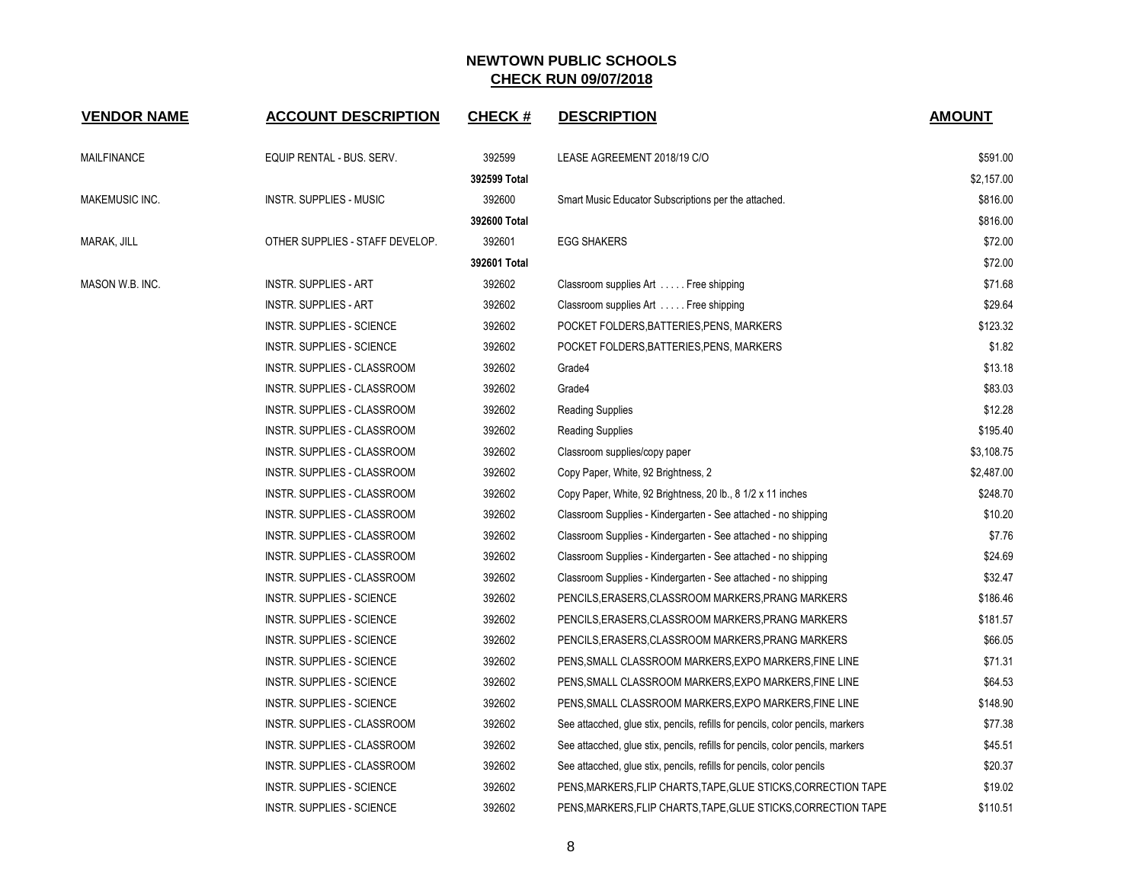| <b>VENDOR NAME</b> | <b>ACCOUNT DESCRIPTION</b>       | <b>CHECK#</b>          | <b>DESCRIPTION</b>                                                             | <b>AMOUNT</b>          |
|--------------------|----------------------------------|------------------------|--------------------------------------------------------------------------------|------------------------|
| MAILFINANCE        | EQUIP RENTAL - BUS. SERV.        | 392599                 | LEASE AGREEMENT 2018/19 C/O                                                    | \$591.00               |
| MAKEMUSIC INC.     | <b>INSTR. SUPPLIES - MUSIC</b>   | 392599 Total<br>392600 |                                                                                | \$2,157.00<br>\$816.00 |
|                    |                                  | 392600 Total           | Smart Music Educator Subscriptions per the attached.                           | \$816.00               |
| MARAK, JILL        | OTHER SUPPLIES - STAFF DEVELOP.  | 392601                 | <b>EGG SHAKERS</b>                                                             | \$72.00                |
|                    |                                  | 392601 Total           |                                                                                | \$72.00                |
| MASON W.B. INC.    | <b>INSTR. SUPPLIES - ART</b>     | 392602                 | Classroom supplies Art  Free shipping                                          | \$71.68                |
|                    | <b>INSTR. SUPPLIES - ART</b>     | 392602                 | Classroom supplies Art Free shipping                                           | \$29.64                |
|                    | INSTR. SUPPLIES - SCIENCE        | 392602                 | POCKET FOLDERS, BATTERIES, PENS, MARKERS                                       | \$123.32               |
|                    | INSTR. SUPPLIES - SCIENCE        | 392602                 | POCKET FOLDERS, BATTERIES, PENS, MARKERS                                       | \$1.82                 |
|                    | INSTR. SUPPLIES - CLASSROOM      | 392602                 | Grade4                                                                         | \$13.18                |
|                    | INSTR. SUPPLIES - CLASSROOM      | 392602                 | Grade4                                                                         | \$83.03                |
|                    | INSTR. SUPPLIES - CLASSROOM      | 392602                 | <b>Reading Supplies</b>                                                        | \$12.28                |
|                    | INSTR. SUPPLIES - CLASSROOM      | 392602                 | <b>Reading Supplies</b>                                                        | \$195.40               |
|                    | INSTR. SUPPLIES - CLASSROOM      | 392602                 | Classroom supplies/copy paper                                                  | \$3,108.75             |
|                    | INSTR. SUPPLIES - CLASSROOM      | 392602                 | Copy Paper, White, 92 Brightness, 2                                            | \$2,487.00             |
|                    | INSTR. SUPPLIES - CLASSROOM      | 392602                 | Copy Paper, White, 92 Brightness, 20 lb., 8 1/2 x 11 inches                    | \$248.70               |
|                    | INSTR. SUPPLIES - CLASSROOM      | 392602                 | Classroom Supplies - Kindergarten - See attached - no shipping                 | \$10.20                |
|                    | INSTR. SUPPLIES - CLASSROOM      | 392602                 | Classroom Supplies - Kindergarten - See attached - no shipping                 | \$7.76                 |
|                    | INSTR. SUPPLIES - CLASSROOM      | 392602                 | Classroom Supplies - Kindergarten - See attached - no shipping                 | \$24.69                |
|                    | INSTR. SUPPLIES - CLASSROOM      | 392602                 | Classroom Supplies - Kindergarten - See attached - no shipping                 | \$32.47                |
|                    | INSTR. SUPPLIES - SCIENCE        | 392602                 | PENCILS, ERASERS, CLASSROOM MARKERS, PRANG MARKERS                             | \$186.46               |
|                    | <b>INSTR. SUPPLIES - SCIENCE</b> | 392602                 | PENCILS, ERASERS, CLASSROOM MARKERS, PRANG MARKERS                             | \$181.57               |
|                    | INSTR. SUPPLIES - SCIENCE        | 392602                 | PENCILS, ERASERS, CLASSROOM MARKERS, PRANG MARKERS                             | \$66.05                |
|                    | <b>INSTR. SUPPLIES - SCIENCE</b> | 392602                 | PENS, SMALL CLASSROOM MARKERS, EXPO MARKERS, FINE LINE                         | \$71.31                |
|                    | <b>INSTR. SUPPLIES - SCIENCE</b> | 392602                 | PENS, SMALL CLASSROOM MARKERS, EXPO MARKERS, FINE LINE                         | \$64.53                |
|                    | INSTR. SUPPLIES - SCIENCE        | 392602                 | PENS, SMALL CLASSROOM MARKERS, EXPO MARKERS, FINE LINE                         | \$148.90               |
|                    | INSTR. SUPPLIES - CLASSROOM      | 392602                 | See attacched, glue stix, pencils, refills for pencils, color pencils, markers | \$77.38                |
|                    | INSTR. SUPPLIES - CLASSROOM      | 392602                 | See attacched, glue stix, pencils, refills for pencils, color pencils, markers | \$45.51                |
|                    | INSTR. SUPPLIES - CLASSROOM      | 392602                 | See attacched, glue stix, pencils, refills for pencils, color pencils          | \$20.37                |
|                    | <b>INSTR. SUPPLIES - SCIENCE</b> | 392602                 | PENS, MARKERS, FLIP CHARTS, TAPE, GLUE STICKS, CORRECTION TAPE                 | \$19.02                |
|                    | INSTR. SUPPLIES - SCIENCE        | 392602                 | PENS, MARKERS, FLIP CHARTS, TAPE, GLUE STICKS, CORRECTION TAPE                 | \$110.51               |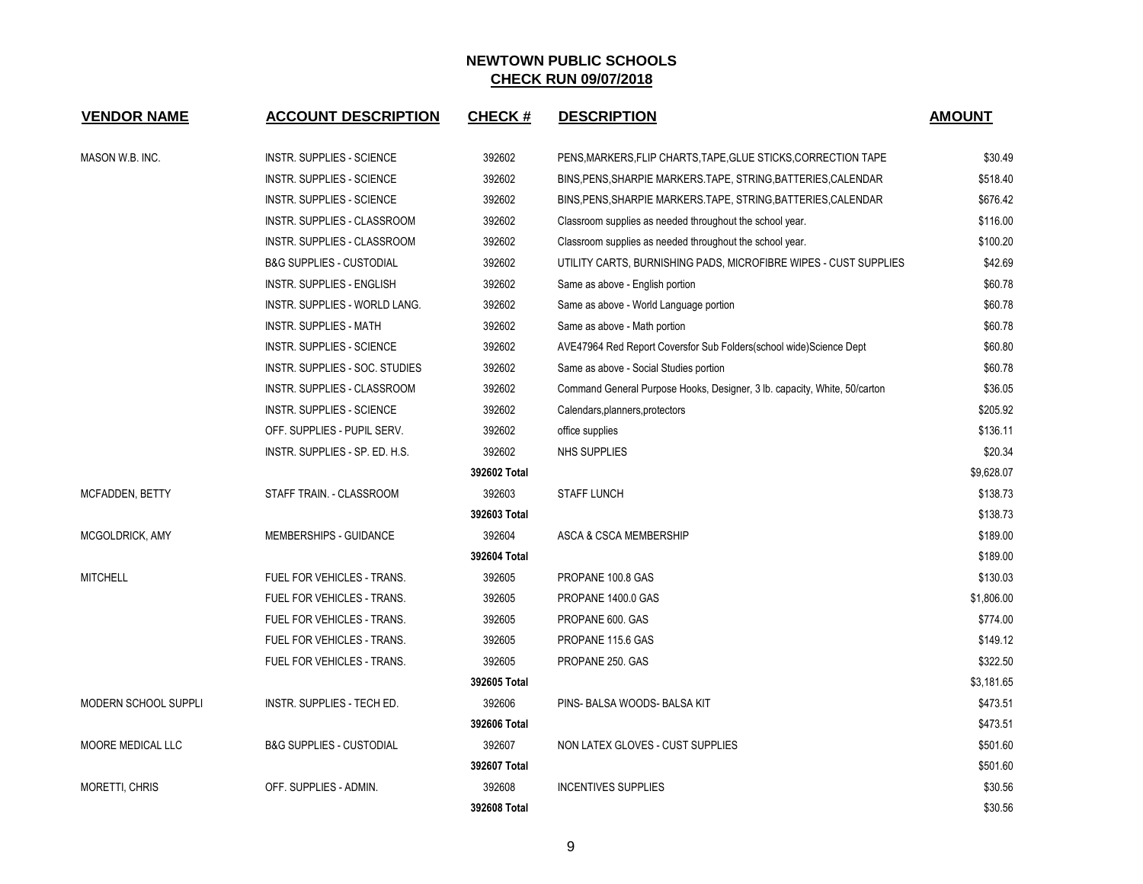| <b>VENDOR NAME</b>          | <b>ACCOUNT DESCRIPTION</b>          | <b>CHECK#</b> | <b>DESCRIPTION</b>                                                        | <b>AMOUNT</b> |
|-----------------------------|-------------------------------------|---------------|---------------------------------------------------------------------------|---------------|
| MASON W.B. INC.             | INSTR. SUPPLIES - SCIENCE           | 392602        | PENS, MARKERS, FLIP CHARTS, TAPE, GLUE STICKS, CORRECTION TAPE            | \$30.49       |
|                             | INSTR. SUPPLIES - SCIENCE           | 392602        | BINS, PENS, SHARPIE MARKERS. TAPE, STRING, BATTERIES, CALENDAR            | \$518.40      |
|                             | <b>INSTR. SUPPLIES - SCIENCE</b>    | 392602        | BINS, PENS, SHARPIE MARKERS. TAPE, STRING, BATTERIES, CALENDAR            | \$676.42      |
|                             | INSTR. SUPPLIES - CLASSROOM         | 392602        | Classroom supplies as needed throughout the school year.                  | \$116.00      |
|                             | INSTR. SUPPLIES - CLASSROOM         | 392602        | Classroom supplies as needed throughout the school year.                  | \$100.20      |
|                             | <b>B&amp;G SUPPLIES - CUSTODIAL</b> | 392602        | UTILITY CARTS, BURNISHING PADS, MICROFIBRE WIPES - CUST SUPPLIES          | \$42.69       |
|                             | <b>INSTR. SUPPLIES - ENGLISH</b>    | 392602        | Same as above - English portion                                           | \$60.78       |
|                             | INSTR. SUPPLIES - WORLD LANG.       | 392602        | Same as above - World Language portion                                    | \$60.78       |
|                             | <b>INSTR. SUPPLIES - MATH</b>       | 392602        | Same as above - Math portion                                              | \$60.78       |
|                             | INSTR. SUPPLIES - SCIENCE           | 392602        | AVE47964 Red Report Coversfor Sub Folders(school wide)Science Dept        | \$60.80       |
|                             | INSTR. SUPPLIES - SOC. STUDIES      | 392602        | Same as above - Social Studies portion                                    | \$60.78       |
|                             | INSTR. SUPPLIES - CLASSROOM         | 392602        | Command General Purpose Hooks, Designer, 3 lb. capacity, White, 50/carton | \$36.05       |
|                             | <b>INSTR. SUPPLIES - SCIENCE</b>    | 392602        | Calendars, planners, protectors                                           | \$205.92      |
|                             | OFF. SUPPLIES - PUPIL SERV.         | 392602        | office supplies                                                           | \$136.11      |
|                             | INSTR. SUPPLIES - SP. ED. H.S.      | 392602        | NHS SUPPLIES                                                              | \$20.34       |
|                             |                                     | 392602 Total  |                                                                           | \$9,628.07    |
| MCFADDEN, BETTY             | STAFF TRAIN. - CLASSROOM            | 392603        | <b>STAFF LUNCH</b>                                                        | \$138.73      |
|                             |                                     | 392603 Total  |                                                                           | \$138.73      |
| MCGOLDRICK, AMY             | MEMBERSHIPS - GUIDANCE              | 392604        | <b>ASCA &amp; CSCA MEMBERSHIP</b>                                         | \$189.00      |
|                             |                                     | 392604 Total  |                                                                           | \$189.00      |
| <b>MITCHELL</b>             | FUEL FOR VEHICLES - TRANS.          | 392605        | PROPANE 100.8 GAS                                                         | \$130.03      |
|                             | FUEL FOR VEHICLES - TRANS.          | 392605        | PROPANE 1400.0 GAS                                                        | \$1,806.00    |
|                             | FUEL FOR VEHICLES - TRANS.          | 392605        | PROPANE 600. GAS                                                          | \$774.00      |
|                             | FUEL FOR VEHICLES - TRANS.          | 392605        | PROPANE 115.6 GAS                                                         | \$149.12      |
|                             | FUEL FOR VEHICLES - TRANS.          | 392605        | PROPANE 250. GAS                                                          | \$322.50      |
|                             |                                     | 392605 Total  |                                                                           | \$3,181.65    |
| <b>MODERN SCHOOL SUPPLI</b> | INSTR. SUPPLIES - TECH ED.          | 392606        | PINS- BALSA WOODS- BALSA KIT                                              | \$473.51      |
|                             |                                     | 392606 Total  |                                                                           | \$473.51      |
| MOORE MEDICAL LLC           | <b>B&amp;G SUPPLIES - CUSTODIAL</b> | 392607        | NON LATEX GLOVES - CUST SUPPLIES                                          | \$501.60      |
|                             |                                     | 392607 Total  |                                                                           | \$501.60      |
| <b>MORETTI, CHRIS</b>       | OFF. SUPPLIES - ADMIN.              | 392608        | <b>INCENTIVES SUPPLIES</b>                                                | \$30.56       |
|                             |                                     | 392608 Total  |                                                                           | \$30.56       |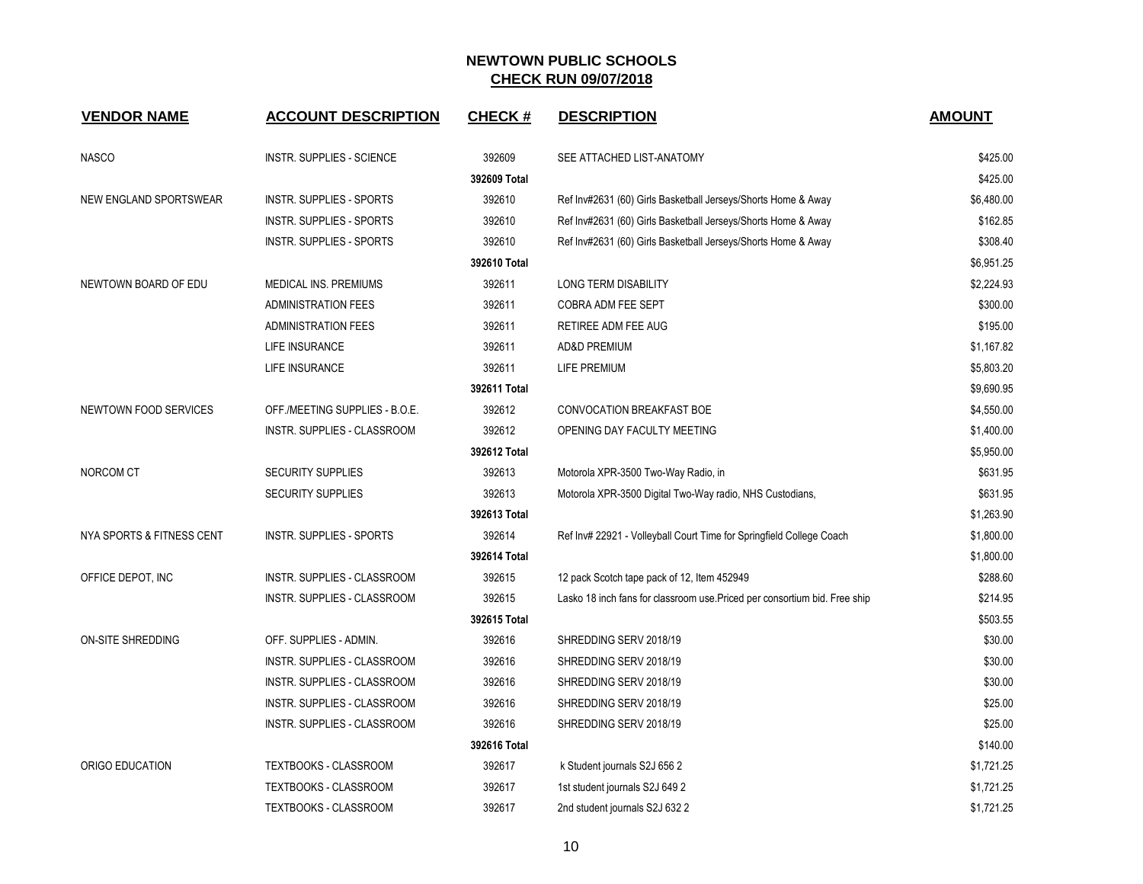| <b>VENDOR NAME</b>        | <b>ACCOUNT DESCRIPTION</b>         | <b>CHECK#</b> | <b>DESCRIPTION</b>                                                         | <b>AMOUNT</b> |
|---------------------------|------------------------------------|---------------|----------------------------------------------------------------------------|---------------|
| <b>NASCO</b>              | <b>INSTR. SUPPLIES - SCIENCE</b>   | 392609        | SEE ATTACHED LIST-ANATOMY                                                  | \$425.00      |
|                           |                                    | 392609 Total  |                                                                            | \$425.00      |
| NEW ENGLAND SPORTSWEAR    | INSTR. SUPPLIES - SPORTS           | 392610        | Ref Inv#2631 (60) Girls Basketball Jerseys/Shorts Home & Away              | \$6,480.00    |
|                           | INSTR. SUPPLIES - SPORTS           | 392610        | Ref Inv#2631 (60) Girls Basketball Jerseys/Shorts Home & Away              | \$162.85      |
|                           | <b>INSTR. SUPPLIES - SPORTS</b>    | 392610        | Ref Inv#2631 (60) Girls Basketball Jerseys/Shorts Home & Away              | \$308.40      |
|                           |                                    | 392610 Total  |                                                                            | \$6,951.25    |
| NEWTOWN BOARD OF EDU      | MEDICAL INS. PREMIUMS              | 392611        | LONG TERM DISABILITY                                                       | \$2,224.93    |
|                           | <b>ADMINISTRATION FEES</b>         | 392611        | COBRA ADM FEE SEPT                                                         | \$300.00      |
|                           | <b>ADMINISTRATION FEES</b>         | 392611        | RETIREE ADM FEE AUG                                                        | \$195.00      |
|                           | LIFE INSURANCE                     | 392611        | <b>AD&amp;D PREMIUM</b>                                                    | \$1,167.82    |
|                           | LIFE INSURANCE                     | 392611        | <b>LIFE PREMIUM</b>                                                        | \$5,803.20    |
|                           |                                    | 392611 Total  |                                                                            | \$9,690.95    |
| NEWTOWN FOOD SERVICES     | OFF./MEETING SUPPLIES - B.O.E.     | 392612        | <b>CONVOCATION BREAKFAST BOE</b>                                           | \$4,550.00    |
|                           | INSTR. SUPPLIES - CLASSROOM        | 392612        | OPENING DAY FACULTY MEETING                                                | \$1,400.00    |
|                           |                                    | 392612 Total  |                                                                            | \$5,950.00    |
| NORCOM CT                 | <b>SECURITY SUPPLIES</b>           | 392613        | Motorola XPR-3500 Two-Way Radio, in                                        | \$631.95      |
|                           | <b>SECURITY SUPPLIES</b>           | 392613        | Motorola XPR-3500 Digital Two-Way radio, NHS Custodians,                   | \$631.95      |
|                           |                                    | 392613 Total  |                                                                            | \$1,263.90    |
| NYA SPORTS & FITNESS CENT | <b>INSTR. SUPPLIES - SPORTS</b>    | 392614        | Ref Inv# 22921 - Volleyball Court Time for Springfield College Coach       | \$1,800.00    |
|                           |                                    | 392614 Total  |                                                                            | \$1,800.00    |
| OFFICE DEPOT, INC         | <b>INSTR. SUPPLIES - CLASSROOM</b> | 392615        | 12 pack Scotch tape pack of 12, Item 452949                                | \$288.60      |
|                           | INSTR. SUPPLIES - CLASSROOM        | 392615        | Lasko 18 inch fans for classroom use. Priced per consortium bid. Free ship | \$214.95      |
|                           |                                    | 392615 Total  |                                                                            | \$503.55      |
| <b>ON-SITE SHREDDING</b>  | OFF. SUPPLIES - ADMIN.             | 392616        | SHREDDING SERV 2018/19                                                     | \$30.00       |
|                           | INSTR. SUPPLIES - CLASSROOM        | 392616        | SHREDDING SERV 2018/19                                                     | \$30.00       |
|                           | INSTR. SUPPLIES - CLASSROOM        | 392616        | SHREDDING SERV 2018/19                                                     | \$30.00       |
|                           | INSTR. SUPPLIES - CLASSROOM        | 392616        | SHREDDING SERV 2018/19                                                     | \$25.00       |
|                           | <b>INSTR. SUPPLIES - CLASSROOM</b> | 392616        | SHREDDING SERV 2018/19                                                     | \$25.00       |
|                           |                                    | 392616 Total  |                                                                            | \$140.00      |
| ORIGO EDUCATION           | TEXTBOOKS - CLASSROOM              | 392617        | k Student journals S2J 656 2                                               | \$1,721.25    |
|                           | TEXTBOOKS - CLASSROOM              | 392617        | 1st student journals S2J 649 2                                             | \$1,721.25    |
|                           | TEXTBOOKS - CLASSROOM              | 392617        | 2nd student journals S2J 632 2                                             | \$1,721.25    |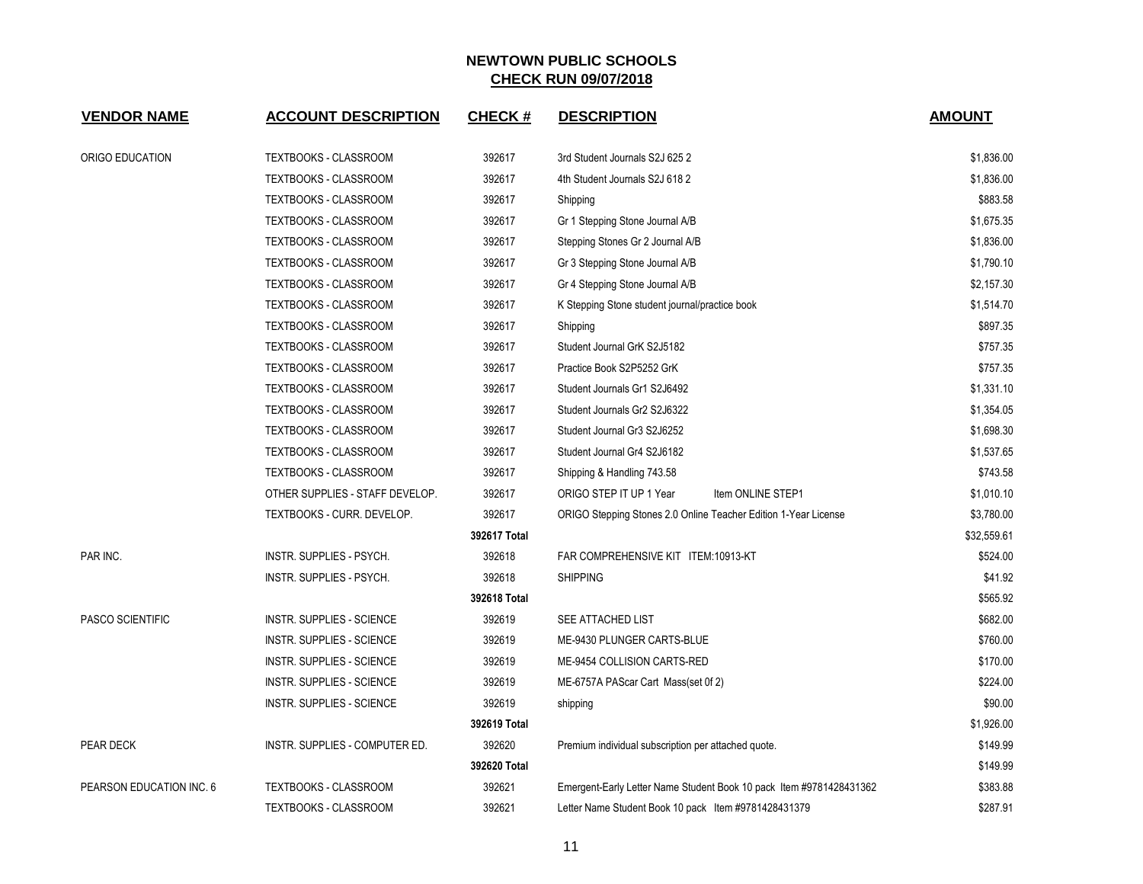| <b>VENDOR NAME</b>       | <b>ACCOUNT DESCRIPTION</b>       | <b>CHECK#</b> | <b>DESCRIPTION</b>                                                  | <b>AMOUNT</b> |
|--------------------------|----------------------------------|---------------|---------------------------------------------------------------------|---------------|
| ORIGO EDUCATION          | TEXTBOOKS - CLASSROOM            | 392617        | 3rd Student Journals S2J 625 2                                      | \$1,836.00    |
|                          | TEXTBOOKS - CLASSROOM            | 392617        | 4th Student Journals S2J 618 2                                      | \$1,836.00    |
|                          | TEXTBOOKS - CLASSROOM            | 392617        | Shipping                                                            | \$883.58      |
|                          | <b>TEXTBOOKS - CLASSROOM</b>     | 392617        | Gr 1 Stepping Stone Journal A/B                                     | \$1,675.35    |
|                          | <b>TEXTBOOKS - CLASSROOM</b>     | 392617        | Stepping Stones Gr 2 Journal A/B                                    | \$1,836.00    |
|                          | TEXTBOOKS - CLASSROOM            | 392617        | Gr 3 Stepping Stone Journal A/B                                     | \$1,790.10    |
|                          | TEXTBOOKS - CLASSROOM            | 392617        | Gr 4 Stepping Stone Journal A/B                                     | \$2,157.30    |
|                          | TEXTBOOKS - CLASSROOM            | 392617        | K Stepping Stone student journal/practice book                      | \$1,514.70    |
|                          | TEXTBOOKS - CLASSROOM            | 392617        | Shipping                                                            | \$897.35      |
|                          | TEXTBOOKS - CLASSROOM            | 392617        | Student Journal GrK S2J5182                                         | \$757.35      |
|                          | TEXTBOOKS - CLASSROOM            | 392617        | Practice Book S2P5252 GrK                                           | \$757.35      |
|                          | <b>TEXTBOOKS - CLASSROOM</b>     | 392617        | Student Journals Gr1 S2J6492                                        | \$1,331.10    |
|                          | <b>TEXTBOOKS - CLASSROOM</b>     | 392617        | Student Journals Gr2 S2J6322                                        | \$1,354.05    |
|                          | TEXTBOOKS - CLASSROOM            | 392617        | Student Journal Gr3 S2J6252                                         | \$1,698.30    |
|                          | TEXTBOOKS - CLASSROOM            | 392617        | Student Journal Gr4 S2J6182                                         | \$1,537.65    |
|                          | TEXTBOOKS - CLASSROOM            | 392617        | Shipping & Handling 743.58                                          | \$743.58      |
|                          | OTHER SUPPLIES - STAFF DEVELOP.  | 392617        | ORIGO STEP IT UP 1 Year<br>Item ONLINE STEP1                        | \$1,010.10    |
|                          | TEXTBOOKS - CURR. DEVELOP.       | 392617        | ORIGO Stepping Stones 2.0 Online Teacher Edition 1-Year License     | \$3,780.00    |
|                          |                                  | 392617 Total  |                                                                     | \$32,559.61   |
| PAR INC.                 | INSTR. SUPPLIES - PSYCH.         | 392618        | FAR COMPREHENSIVE KIT ITEM:10913-KT                                 | \$524.00      |
|                          | INSTR. SUPPLIES - PSYCH.         | 392618        | <b>SHIPPING</b>                                                     | \$41.92       |
|                          |                                  | 392618 Total  |                                                                     | \$565.92      |
| PASCO SCIENTIFIC         | INSTR. SUPPLIES - SCIENCE        | 392619        | SEE ATTACHED LIST                                                   | \$682.00      |
|                          | <b>INSTR. SUPPLIES - SCIENCE</b> | 392619        | ME-9430 PLUNGER CARTS-BLUE                                          | \$760.00      |
|                          | <b>INSTR. SUPPLIES - SCIENCE</b> | 392619        | ME-9454 COLLISION CARTS-RED                                         | \$170.00      |
|                          | <b>INSTR. SUPPLIES - SCIENCE</b> | 392619        | ME-6757A PAScar Cart Mass(set 0f 2)                                 | \$224.00      |
|                          | <b>INSTR. SUPPLIES - SCIENCE</b> | 392619        | shipping                                                            | \$90.00       |
|                          |                                  | 392619 Total  |                                                                     | \$1,926.00    |
| PEAR DECK                | INSTR. SUPPLIES - COMPUTER ED.   | 392620        | Premium individual subscription per attached quote.                 | \$149.99      |
|                          |                                  | 392620 Total  |                                                                     | \$149.99      |
| PEARSON EDUCATION INC. 6 | TEXTBOOKS - CLASSROOM            | 392621        | Emergent-Early Letter Name Student Book 10 pack Item #9781428431362 | \$383.88      |
|                          | <b>TEXTBOOKS - CLASSROOM</b>     | 392621        | Letter Name Student Book 10 pack Item #9781428431379                | \$287.91      |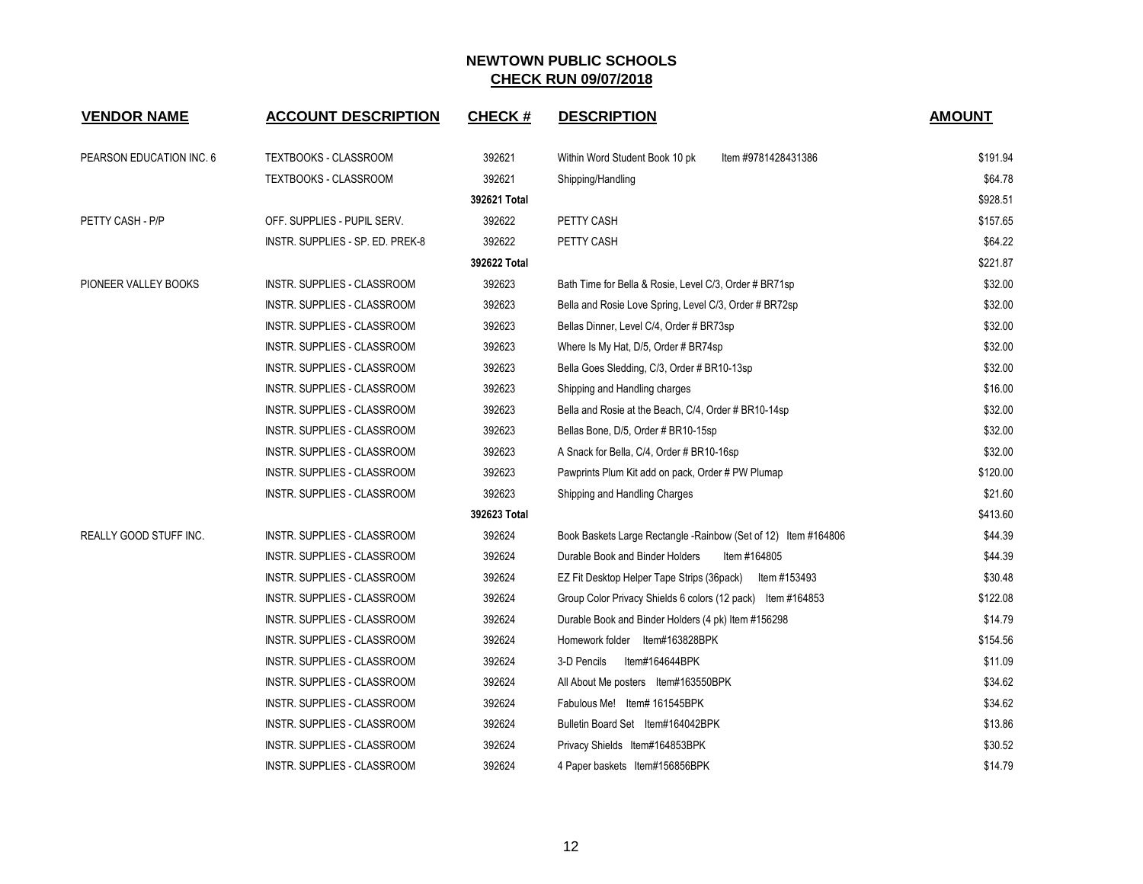| <b>VENDOR NAME</b>       | <b>ACCOUNT DESCRIPTION</b>       | <b>CHECK#</b> | <b>DESCRIPTION</b>                                             | <b>AMOUNT</b> |
|--------------------------|----------------------------------|---------------|----------------------------------------------------------------|---------------|
| PEARSON EDUCATION INC. 6 | TEXTBOOKS - CLASSROOM            | 392621        | Within Word Student Book 10 pk<br>Item #9781428431386          | \$191.94      |
|                          | TEXTBOOKS - CLASSROOM            | 392621        | Shipping/Handling                                              | \$64.78       |
|                          |                                  | 392621 Total  |                                                                | \$928.51      |
| PETTY CASH - P/P         | OFF. SUPPLIES - PUPIL SERV.      | 392622        | PETTY CASH                                                     | \$157.65      |
|                          | INSTR. SUPPLIES - SP. ED. PREK-8 | 392622        | PETTY CASH                                                     | \$64.22       |
|                          |                                  | 392622 Total  |                                                                | \$221.87      |
| PIONEER VALLEY BOOKS     | INSTR. SUPPLIES - CLASSROOM      | 392623        | Bath Time for Bella & Rosie, Level C/3, Order # BR71sp         | \$32.00       |
|                          | INSTR. SUPPLIES - CLASSROOM      | 392623        | Bella and Rosie Love Spring, Level C/3, Order # BR72sp         | \$32.00       |
|                          | INSTR. SUPPLIES - CLASSROOM      | 392623        | Bellas Dinner, Level C/4, Order # BR73sp                       | \$32.00       |
|                          | INSTR. SUPPLIES - CLASSROOM      | 392623        | Where Is My Hat, D/5, Order # BR74sp                           | \$32.00       |
|                          | INSTR. SUPPLIES - CLASSROOM      | 392623        | Bella Goes Sledding, C/3, Order # BR10-13sp                    | \$32.00       |
|                          | INSTR. SUPPLIES - CLASSROOM      | 392623        | Shipping and Handling charges                                  | \$16.00       |
|                          | INSTR. SUPPLIES - CLASSROOM      | 392623        | Bella and Rosie at the Beach, C/4, Order # BR10-14sp           | \$32.00       |
|                          | INSTR. SUPPLIES - CLASSROOM      | 392623        | Bellas Bone, D/5, Order # BR10-15sp                            | \$32.00       |
|                          | INSTR. SUPPLIES - CLASSROOM      | 392623        | A Snack for Bella, C/4, Order # BR10-16sp                      | \$32.00       |
|                          | INSTR. SUPPLIES - CLASSROOM      | 392623        | Pawprints Plum Kit add on pack, Order # PW Plumap              | \$120.00      |
|                          | INSTR. SUPPLIES - CLASSROOM      | 392623        | Shipping and Handling Charges                                  | \$21.60       |
|                          |                                  | 392623 Total  |                                                                | \$413.60      |
| REALLY GOOD STUFF INC.   | INSTR. SUPPLIES - CLASSROOM      | 392624        | Book Baskets Large Rectangle -Rainbow (Set of 12) Item #164806 | \$44.39       |
|                          | INSTR. SUPPLIES - CLASSROOM      | 392624        | Durable Book and Binder Holders<br>Item #164805                | \$44.39       |
|                          | INSTR. SUPPLIES - CLASSROOM      | 392624        | EZ Fit Desktop Helper Tape Strips (36pack)<br>Item #153493     | \$30.48       |
|                          | INSTR. SUPPLIES - CLASSROOM      | 392624        | Group Color Privacy Shields 6 colors (12 pack) Item #164853    | \$122.08      |
|                          | INSTR. SUPPLIES - CLASSROOM      | 392624        | Durable Book and Binder Holders (4 pk) Item #156298            | \$14.79       |
|                          | INSTR. SUPPLIES - CLASSROOM      | 392624        | Homework folder Item#163828BPK                                 | \$154.56      |
|                          | INSTR. SUPPLIES - CLASSROOM      | 392624        | Item#164644BPK<br>3-D Pencils                                  | \$11.09       |
|                          | INSTR. SUPPLIES - CLASSROOM      | 392624        | All About Me posters Item#163550BPK                            | \$34.62       |
|                          | INSTR. SUPPLIES - CLASSROOM      | 392624        | Fabulous Me! Item# 161545BPK                                   | \$34.62       |
|                          | INSTR. SUPPLIES - CLASSROOM      | 392624        | Bulletin Board Set Item#164042BPK                              | \$13.86       |
|                          | INSTR. SUPPLIES - CLASSROOM      | 392624        | Privacy Shields Item#164853BPK                                 | \$30.52       |
|                          | INSTR. SUPPLIES - CLASSROOM      | 392624        | 4 Paper baskets Item#156856BPK                                 | \$14.79       |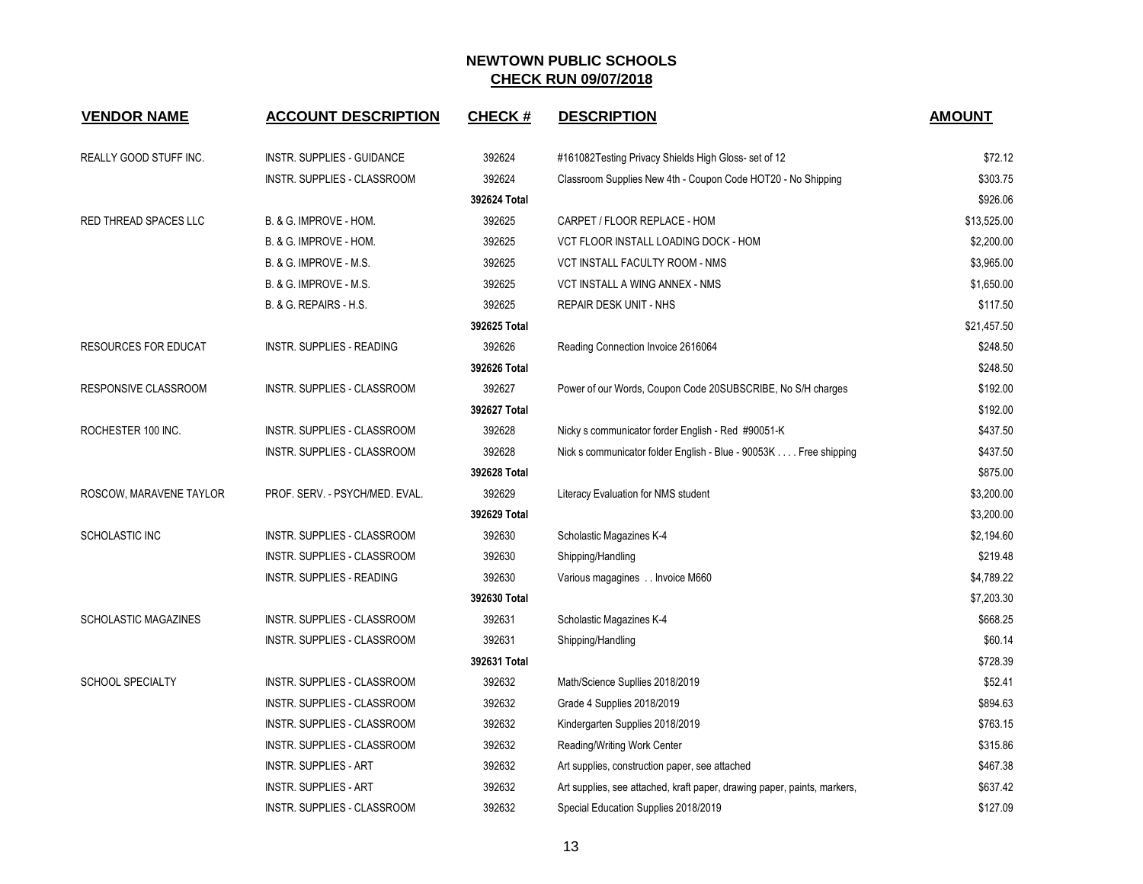| <b>VENDOR NAME</b>          | <b>ACCOUNT DESCRIPTION</b>        | <b>CHECK#</b> | <b>DESCRIPTION</b>                                                       | <b>AMOUNT</b> |
|-----------------------------|-----------------------------------|---------------|--------------------------------------------------------------------------|---------------|
| REALLY GOOD STUFF INC.      | <b>INSTR. SUPPLIES - GUIDANCE</b> | 392624        | #161082Testing Privacy Shields High Gloss- set of 12                     | \$72.12       |
|                             | INSTR. SUPPLIES - CLASSROOM       | 392624        | Classroom Supplies New 4th - Coupon Code HOT20 - No Shipping             | \$303.75      |
|                             |                                   | 392624 Total  |                                                                          | \$926.06      |
| RED THREAD SPACES LLC       | B. & G. IMPROVE - HOM.            | 392625        | CARPET / FLOOR REPLACE - HOM                                             | \$13,525.00   |
|                             | B. & G. IMPROVE - HOM.            | 392625        | VCT FLOOR INSTALL LOADING DOCK - HOM                                     | \$2,200.00    |
|                             | B. & G. IMPROVE - M.S.            | 392625        | VCT INSTALL FACULTY ROOM - NMS                                           | \$3,965.00    |
|                             | B. & G. IMPROVE - M.S.            | 392625        | VCT INSTALL A WING ANNEX - NMS                                           | \$1,650.00    |
|                             | B. & G. REPAIRS - H.S.            | 392625        | <b>REPAIR DESK UNIT - NHS</b>                                            | \$117.50      |
|                             |                                   | 392625 Total  |                                                                          | \$21,457.50   |
| RESOURCES FOR EDUCAT        | <b>INSTR. SUPPLIES - READING</b>  | 392626        | Reading Connection Invoice 2616064                                       | \$248.50      |
|                             |                                   | 392626 Total  |                                                                          | \$248.50      |
| RESPONSIVE CLASSROOM        | INSTR. SUPPLIES - CLASSROOM       | 392627        | Power of our Words, Coupon Code 20SUBSCRIBE, No S/H charges              | \$192.00      |
|                             |                                   | 392627 Total  |                                                                          | \$192.00      |
| ROCHESTER 100 INC.          | INSTR. SUPPLIES - CLASSROOM       | 392628        | Nicky s communicator forder English - Red #90051-K                       | \$437.50      |
|                             | INSTR. SUPPLIES - CLASSROOM       | 392628        | Nick s communicator folder English - Blue - 90053K Free shipping         | \$437.50      |
|                             |                                   | 392628 Total  |                                                                          | \$875.00      |
| ROSCOW, MARAVENE TAYLOR     | PROF. SERV. - PSYCH/MED. EVAL.    | 392629        | Literacy Evaluation for NMS student                                      | \$3,200.00    |
|                             |                                   | 392629 Total  |                                                                          | \$3,200.00    |
| SCHOLASTIC INC              | INSTR. SUPPLIES - CLASSROOM       | 392630        | Scholastic Magazines K-4                                                 | \$2,194.60    |
|                             | INSTR. SUPPLIES - CLASSROOM       | 392630        | Shipping/Handling                                                        | \$219.48      |
|                             | <b>INSTR. SUPPLIES - READING</b>  | 392630        | Various magagines Invoice M660                                           | \$4,789.22    |
|                             |                                   | 392630 Total  |                                                                          | \$7,203.30    |
| <b>SCHOLASTIC MAGAZINES</b> | INSTR. SUPPLIES - CLASSROOM       | 392631        | Scholastic Magazines K-4                                                 | \$668.25      |
|                             | INSTR. SUPPLIES - CLASSROOM       | 392631        | Shipping/Handling                                                        | \$60.14       |
|                             |                                   | 392631 Total  |                                                                          | \$728.39      |
| SCHOOL SPECIALTY            | INSTR. SUPPLIES - CLASSROOM       | 392632        | Math/Science Supllies 2018/2019                                          | \$52.41       |
|                             | INSTR. SUPPLIES - CLASSROOM       | 392632        | Grade 4 Supplies 2018/2019                                               | \$894.63      |
|                             | INSTR. SUPPLIES - CLASSROOM       | 392632        | Kindergarten Supplies 2018/2019                                          | \$763.15      |
|                             | INSTR. SUPPLIES - CLASSROOM       | 392632        | Reading/Writing Work Center                                              | \$315.86      |
|                             | <b>INSTR. SUPPLIES - ART</b>      | 392632        | Art supplies, construction paper, see attached                           | \$467.38      |
|                             | <b>INSTR. SUPPLIES - ART</b>      | 392632        | Art supplies, see attached, kraft paper, drawing paper, paints, markers, | \$637.42      |
|                             | INSTR. SUPPLIES - CLASSROOM       | 392632        | Special Education Supplies 2018/2019                                     | \$127.09      |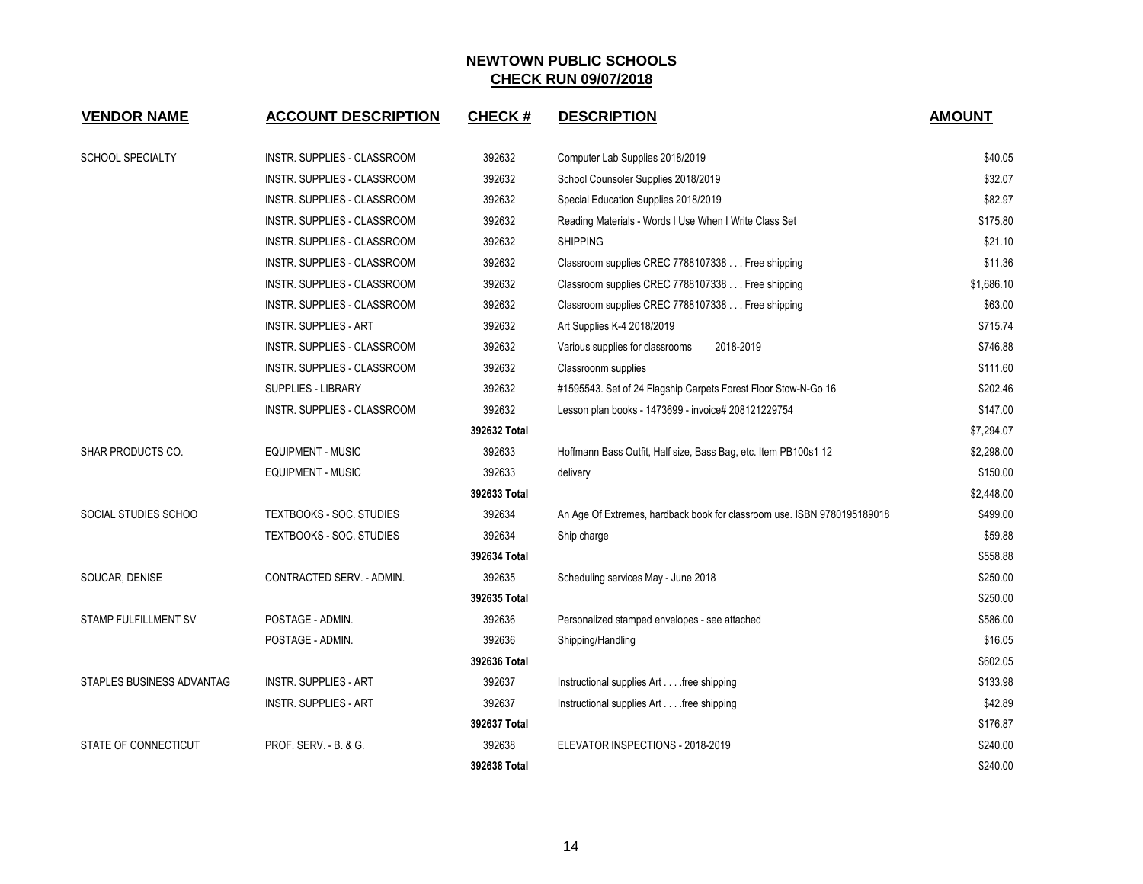| <b>VENDOR NAME</b>        | <b>ACCOUNT DESCRIPTION</b>       | <b>CHECK#</b> | <b>DESCRIPTION</b>                                                      | <b>AMOUNT</b> |
|---------------------------|----------------------------------|---------------|-------------------------------------------------------------------------|---------------|
| <b>SCHOOL SPECIALTY</b>   | INSTR. SUPPLIES - CLASSROOM      | 392632        | Computer Lab Supplies 2018/2019                                         | \$40.05       |
|                           | INSTR. SUPPLIES - CLASSROOM      | 392632        | School Counsoler Supplies 2018/2019                                     | \$32.07       |
|                           | INSTR. SUPPLIES - CLASSROOM      | 392632        | Special Education Supplies 2018/2019                                    | \$82.97       |
|                           | INSTR. SUPPLIES - CLASSROOM      | 392632        | Reading Materials - Words I Use When I Write Class Set                  | \$175.80      |
|                           | INSTR. SUPPLIES - CLASSROOM      | 392632        | <b>SHIPPING</b>                                                         | \$21.10       |
|                           | INSTR. SUPPLIES - CLASSROOM      | 392632        | Classroom supplies CREC 7788107338 Free shipping                        | \$11.36       |
|                           | INSTR. SUPPLIES - CLASSROOM      | 392632        | Classroom supplies CREC 7788107338 Free shipping                        | \$1,686.10    |
|                           | INSTR. SUPPLIES - CLASSROOM      | 392632        | Classroom supplies CREC 7788107338 Free shipping                        | \$63.00       |
|                           | <b>INSTR. SUPPLIES - ART</b>     | 392632        | Art Supplies K-4 2018/2019                                              | \$715.74      |
|                           | INSTR. SUPPLIES - CLASSROOM      | 392632        | Various supplies for classrooms<br>2018-2019                            | \$746.88      |
|                           | INSTR. SUPPLIES - CLASSROOM      | 392632        | Classroonm supplies                                                     | \$111.60      |
|                           | SUPPLIES - LIBRARY               | 392632        | #1595543. Set of 24 Flagship Carpets Forest Floor Stow-N-Go 16          | \$202.46      |
|                           | INSTR. SUPPLIES - CLASSROOM      | 392632        | Lesson plan books - 1473699 - invoice# 208121229754                     | \$147.00      |
|                           |                                  | 392632 Total  |                                                                         | \$7,294.07    |
| SHAR PRODUCTS CO.         | <b>EQUIPMENT - MUSIC</b>         | 392633        | Hoffmann Bass Outfit, Half size, Bass Bag, etc. Item PB100s1 12         | \$2,298.00    |
|                           | <b>EQUIPMENT - MUSIC</b>         | 392633        | delivery                                                                | \$150.00      |
|                           |                                  | 392633 Total  |                                                                         | \$2,448.00    |
| SOCIAL STUDIES SCHOO      | TEXTBOOKS - SOC. STUDIES         | 392634        | An Age Of Extremes, hardback book for classroom use. ISBN 9780195189018 | \$499.00      |
|                           | TEXTBOOKS - SOC. STUDIES         | 392634        | Ship charge                                                             | \$59.88       |
|                           |                                  | 392634 Total  |                                                                         | \$558.88      |
| SOUCAR, DENISE            | CONTRACTED SERV. - ADMIN.        | 392635        | Scheduling services May - June 2018                                     | \$250.00      |
|                           |                                  | 392635 Total  |                                                                         | \$250.00      |
| STAMP FULFILLMENT SV      | POSTAGE - ADMIN.                 | 392636        | Personalized stamped envelopes - see attached                           | \$586.00      |
|                           | POSTAGE - ADMIN.                 | 392636        | Shipping/Handling                                                       | \$16.05       |
|                           |                                  | 392636 Total  |                                                                         | \$602.05      |
| STAPLES BUSINESS ADVANTAG | <b>INSTR. SUPPLIES - ART</b>     | 392637        | Instructional supplies Art free shipping                                | \$133.98      |
|                           | <b>INSTR. SUPPLIES - ART</b>     | 392637        | Instructional supplies Art free shipping                                | \$42.89       |
|                           |                                  | 392637 Total  |                                                                         | \$176.87      |
| STATE OF CONNECTICUT      | <b>PROF. SERV. - B. &amp; G.</b> | 392638        | ELEVATOR INSPECTIONS - 2018-2019                                        | \$240.00      |
|                           |                                  | 392638 Total  |                                                                         | \$240.00      |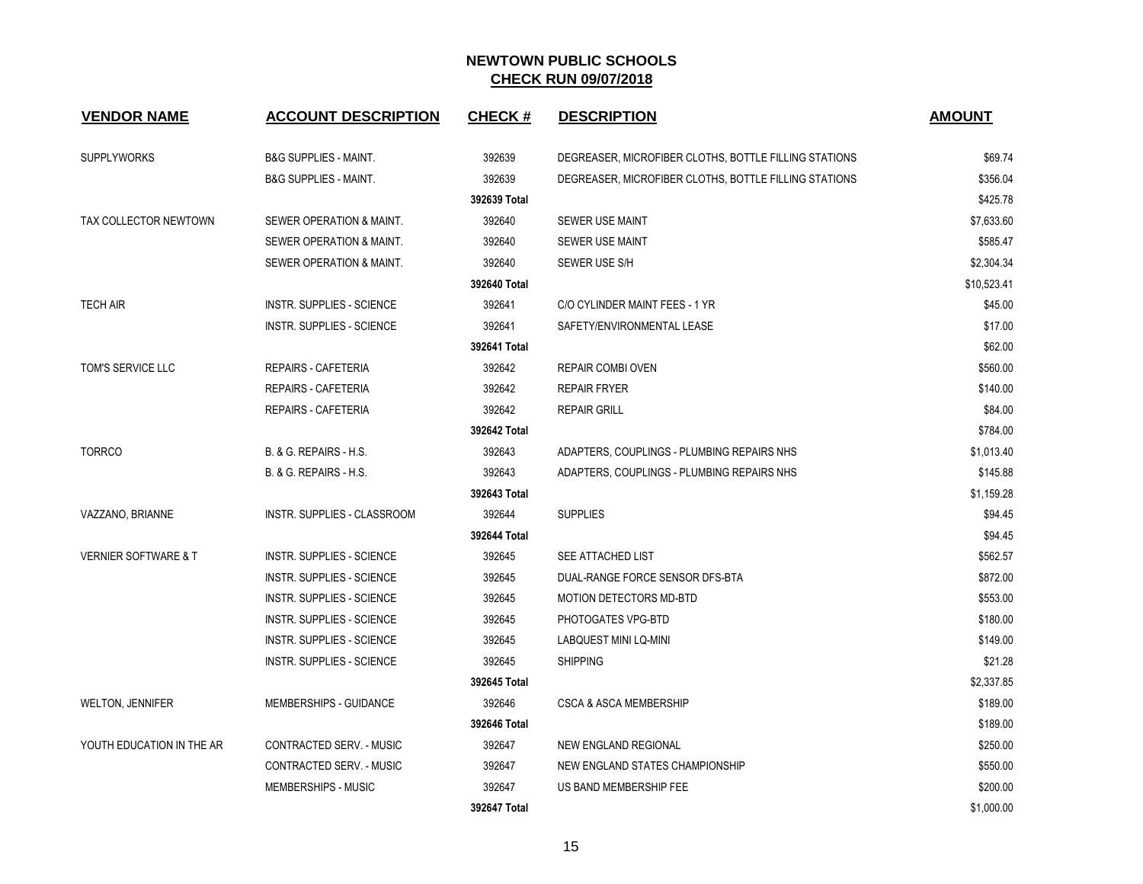| <b>VENDOR NAME</b>              | <b>ACCOUNT DESCRIPTION</b>       | <b>CHECK#</b> | <b>DESCRIPTION</b>                                    | <b>AMOUNT</b> |
|---------------------------------|----------------------------------|---------------|-------------------------------------------------------|---------------|
| <b>SUPPLYWORKS</b>              | <b>B&amp;G SUPPLIES - MAINT.</b> | 392639        | DEGREASER, MICROFIBER CLOTHS, BOTTLE FILLING STATIONS | \$69.74       |
|                                 | <b>B&amp;G SUPPLIES - MAINT.</b> | 392639        | DEGREASER, MICROFIBER CLOTHS, BOTTLE FILLING STATIONS | \$356.04      |
|                                 |                                  | 392639 Total  |                                                       | \$425.78      |
| TAX COLLECTOR NEWTOWN           | SEWER OPERATION & MAINT.         | 392640        | SEWER USE MAINT                                       | \$7,633.60    |
|                                 | SEWER OPERATION & MAINT.         | 392640        | <b>SEWER USE MAINT</b>                                | \$585.47      |
|                                 | SEWER OPERATION & MAINT.         | 392640        | SEWER USE S/H                                         | \$2,304.34    |
|                                 |                                  | 392640 Total  |                                                       | \$10,523.41   |
| <b>TECH AIR</b>                 | <b>INSTR. SUPPLIES - SCIENCE</b> | 392641        | C/O CYLINDER MAINT FEES - 1 YR                        | \$45.00       |
|                                 | <b>INSTR. SUPPLIES - SCIENCE</b> | 392641        | SAFETY/ENVIRONMENTAL LEASE                            | \$17.00       |
|                                 |                                  | 392641 Total  |                                                       | \$62.00       |
| TOM'S SERVICE LLC               | <b>REPAIRS - CAFETERIA</b>       | 392642        | <b>REPAIR COMBI OVEN</b>                              | \$560.00      |
|                                 | <b>REPAIRS - CAFETERIA</b>       | 392642        | <b>REPAIR FRYER</b>                                   | \$140.00      |
|                                 | <b>REPAIRS - CAFETERIA</b>       | 392642        | <b>REPAIR GRILL</b>                                   | \$84.00       |
|                                 |                                  | 392642 Total  |                                                       | \$784.00      |
| <b>TORRCO</b>                   | B. & G. REPAIRS - H.S.           | 392643        | ADAPTERS, COUPLINGS - PLUMBING REPAIRS NHS            | \$1,013.40    |
|                                 | B. & G. REPAIRS - H.S.           | 392643        | ADAPTERS, COUPLINGS - PLUMBING REPAIRS NHS            | \$145.88      |
|                                 |                                  | 392643 Total  |                                                       | \$1,159.28    |
| VAZZANO, BRIANNE                | INSTR. SUPPLIES - CLASSROOM      | 392644        | <b>SUPPLIES</b>                                       | \$94.45       |
|                                 |                                  | 392644 Total  |                                                       | \$94.45       |
| <b>VERNIER SOFTWARE &amp; T</b> | INSTR. SUPPLIES - SCIENCE        | 392645        | SEE ATTACHED LIST                                     | \$562.57      |
|                                 | INSTR. SUPPLIES - SCIENCE        | 392645        | DUAL-RANGE FORCE SENSOR DFS-BTA                       | \$872.00      |
|                                 | <b>INSTR. SUPPLIES - SCIENCE</b> | 392645        | <b>MOTION DETECTORS MD-BTD</b>                        | \$553.00      |
|                                 | <b>INSTR. SUPPLIES - SCIENCE</b> | 392645        | PHOTOGATES VPG-BTD                                    | \$180.00      |
|                                 | <b>INSTR. SUPPLIES - SCIENCE</b> | 392645        | LABQUEST MINI LQ-MINI                                 | \$149.00      |
|                                 | INSTR. SUPPLIES - SCIENCE        | 392645        | <b>SHIPPING</b>                                       | \$21.28       |
|                                 |                                  | 392645 Total  |                                                       | \$2,337.85    |
| <b>WELTON, JENNIFER</b>         | <b>MEMBERSHIPS - GUIDANCE</b>    | 392646        | <b>CSCA &amp; ASCA MEMBERSHIP</b>                     | \$189.00      |
|                                 |                                  | 392646 Total  |                                                       | \$189.00      |
| YOUTH EDUCATION IN THE AR       | CONTRACTED SERV. - MUSIC         | 392647        | <b>NEW ENGLAND REGIONAL</b>                           | \$250.00      |
|                                 | CONTRACTED SERV. - MUSIC         | 392647        | NEW ENGLAND STATES CHAMPIONSHIP                       | \$550.00      |
|                                 | <b>MEMBERSHIPS - MUSIC</b>       | 392647        | US BAND MEMBERSHIP FEE                                | \$200.00      |
|                                 |                                  | 392647 Total  |                                                       | \$1,000.00    |